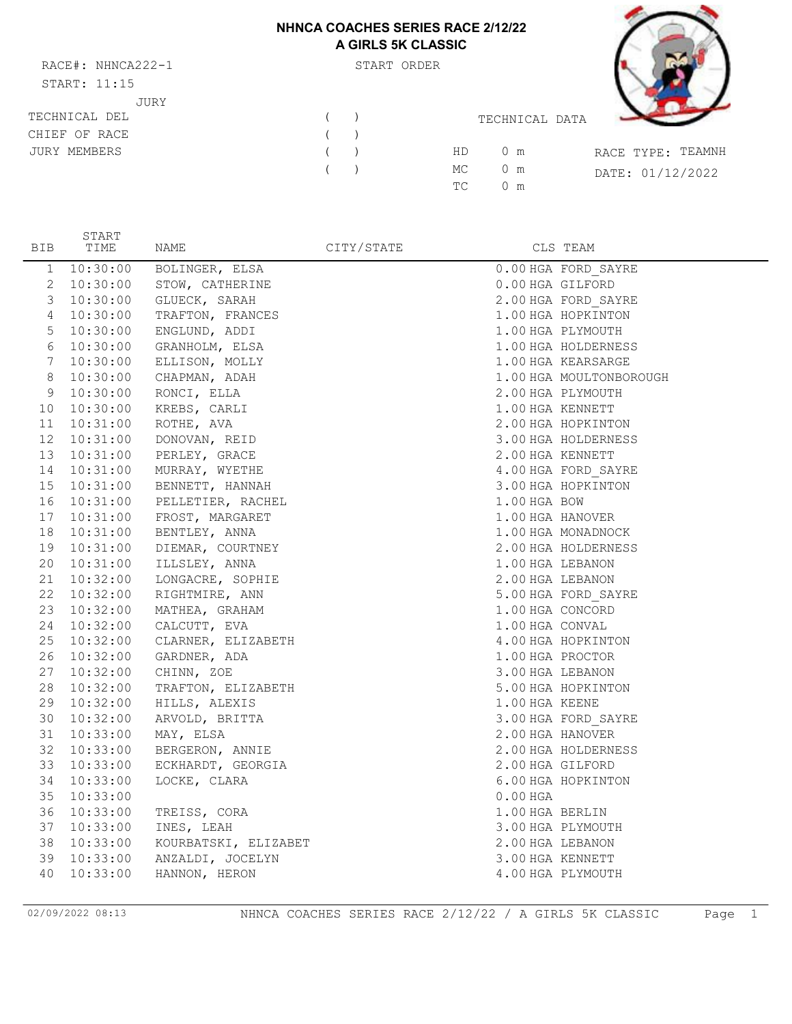# **NHNCA COACHES SERIES RACE 2/12/22 A GIRLS 5K CLASSIC**

RACE#: NHNCA222-1 START ORDER START: 11:15 JURY

START



| START: 11:15  |            |         |     |                |                   |
|---------------|------------|---------|-----|----------------|-------------------|
| JURY          |            |         |     |                |                   |
| TECHNICAL DEL |            | $($ $)$ |     | TECHNICAL DATA |                   |
| CHIEF OF RACE | (          |         |     |                |                   |
| JURY MEMBERS  | (          |         | HD  | $0 \text{ m}$  | RACE TYPE: TEAMNH |
|               | $\sqrt{2}$ |         | MC  | 0 m            | DATE: 01/12/2022  |
|               |            |         | TC. | $0 \text{ m}$  |                   |
|               |            |         |     |                |                   |

| BIB             | TIME        | NAME                          | CITY/STATE |                  | CLS TEAM                |
|-----------------|-------------|-------------------------------|------------|------------------|-------------------------|
| $\mathbf{1}$    | 10:30:00    | BOLINGER, ELSA                |            |                  | 0.00 HGA FORD SAYRE     |
| $\mathbf{2}$    | 10:30:00    | STOW, CATHERINE               |            | 0.00 HGA GILFORD |                         |
| 3               | 10:30:00    | GLUECK, SARAH                 |            |                  | 2.00 HGA FORD SAYRE     |
| $\overline{4}$  | 10:30:00    | TRAFTON, FRANCES              |            |                  | 1.00 HGA HOPKINTON      |
| 5               | 10:30:00    | ENGLUND, ADDI                 |            |                  | 1.00 HGA PLYMOUTH       |
| 6               | 10:30:00    | GRANHOLM, ELSA                |            |                  | 1.00 HGA HOLDERNESS     |
| $7\phantom{.0}$ | 10:30:00    | ELLISON, MOLLY                |            |                  | 1.00 HGA KEARSARGE      |
| $\,8\,$         | 10:30:00    | CHAPMAN, ADAH                 |            |                  | 1.00 HGA MOULTONBOROUGH |
| 9               | 10:30:00    | RONCI, ELLA                   |            |                  | 2.00 HGA PLYMOUTH       |
| 10 <sup>°</sup> | 10:30:00    | KREBS, CARLI                  |            | 1.00 HGA KENNETT |                         |
|                 | 11 10:31:00 | ROTHE, AVA                    |            |                  | 2.00 HGA HOPKINTON      |
|                 | 12 10:31:00 | DONOVAN, REID                 |            |                  | 3.00 HGA HOLDERNESS     |
|                 |             | 13  10:31:00  PERLEY, GRACE   |            | 2.00 HGA KENNETT |                         |
|                 | 14 10:31:00 | MURRAY, WYETHE                |            |                  | 4.00 HGA FORD SAYRE     |
| 15              |             | 10:31:00 BENNETT, HANNAH      |            |                  | 3.00 HGA HOPKINTON      |
|                 |             | 16 10:31:00 PELLETIER, RACHEL |            | 1.00 HGA BOW     |                         |
| 17              | 10:31:00    | FROST, MARGARET               |            | 1.00 HGA HANOVER |                         |
|                 | 18 10:31:00 | BENTLEY, ANNA                 |            |                  | 1.00 HGA MONADNOCK      |
|                 | 19 10:31:00 | DIEMAR, COURTNEY              |            |                  | 2.00 HGA HOLDERNESS     |
|                 | 20 10:31:00 | ILLSLEY, ANNA                 |            | 1.00 HGA LEBANON |                         |
|                 | 21 10:32:00 | LONGACRE, SOPHIE              |            | 2.00 HGA LEBANON |                         |
|                 | 22 10:32:00 | RIGHTMIRE, ANN                |            |                  | 5.00 HGA FORD SAYRE     |
|                 | 23 10:32:00 | MATHEA, GRAHAM                |            | 1.00 HGA CONCORD |                         |
|                 | 24 10:32:00 | CALCUTT, EVA                  |            | 1.00 HGA CONVAL  |                         |
|                 | 25 10:32:00 | CLARNER, ELIZABETH            |            |                  | 4.00 HGA HOPKINTON      |
|                 | 26 10:32:00 | GARDNER, ADA                  |            | 1.00 HGA PROCTOR |                         |
|                 | 27 10:32:00 | CHINN, ZOE                    |            | 3.00 HGA LEBANON |                         |
|                 | 28 10:32:00 | TRAFTON, ELIZABETH            |            |                  | 5.00 HGA HOPKINTON      |
|                 | 29 10:32:00 | HILLS, ALEXIS                 |            | 1.00 HGA KEENE   |                         |
|                 | 30 10:32:00 | ARVOLD, BRITTA                |            |                  | 3.00 HGA FORD SAYRE     |
|                 | 31 10:33:00 | MAY, ELSA                     |            | 2.00 HGA HANOVER |                         |
| 32              | 10:33:00    | BERGERON, ANNIE               |            |                  | 2.00 HGA HOLDERNESS     |
| 33              | 10:33:00    | ECKHARDT, GEORGIA             |            | 2.00 HGA GILFORD |                         |
| 34              | 10:33:00    | LOCKE, CLARA                  |            |                  | 6.00 HGA HOPKINTON      |
| 35              | 10:33:00    |                               |            | $0.00$ HGA       |                         |
|                 | 36 10:33:00 | TREISS, CORA                  |            | 1.00 HGA BERLIN  |                         |
| 37              | 10:33:00    | INES, LEAH                    |            |                  | 3.00 HGA PLYMOUTH       |
| 38              | 10:33:00    | KOURBATSKI, ELIZABET          |            | 2.00 HGA LEBANON |                         |
| 39              | 10:33:00    | ANZALDI, JOCELYN              |            | 3.00 HGA KENNETT |                         |
| 40              | 10:33:00    | HANNON, HERON                 |            |                  | 4.00 HGA PLYMOUTH       |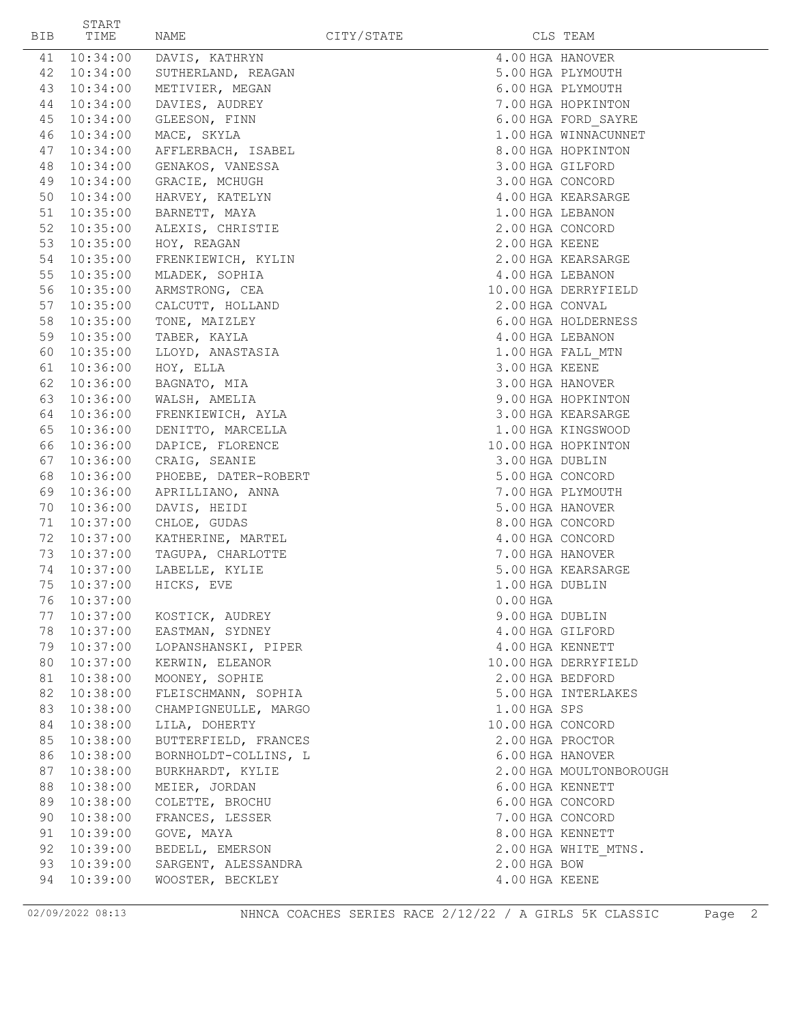| BIB      | START<br>TIME        | NAME                               | CITY/STATE |                               | CLS TEAM                |
|----------|----------------------|------------------------------------|------------|-------------------------------|-------------------------|
| 41       | 10:34:00             | DAVIS, KATHRYN                     |            |                               | 4.00 HGA HANOVER        |
| 42       | 10:34:00             | SUTHERLAND, REAGAN                 |            |                               | 5.00 HGA PLYMOUTH       |
| 43       | 10:34:00             | METIVIER, MEGAN                    |            |                               | 6.00 HGA PLYMOUTH       |
| 44       | 10:34:00             | DAVIES, AUDREY                     |            |                               | 7.00 HGA HOPKINTON      |
| 45       | 10:34:00             | GLEESON, FINN                      |            |                               | 6.00 HGA FORD SAYRE     |
| 46       | 10:34:00             | MACE, SKYLA                        |            |                               | 1.00 HGA WINNACUNNET    |
| 47       | 10:34:00             | AFFLERBACH, ISABEL                 |            |                               | 8.00 HGA HOPKINTON      |
| 48       | 10:34:00             | GENAKOS, VANESSA                   |            |                               | 3.00 HGA GILFORD        |
|          | 49 10:34:00          | GRACIE, MCHUGH                     |            |                               | 3.00 HGA CONCORD        |
| 50       | 10:34:00             | HARVEY, KATELYN                    |            |                               | 4.00 HGA KEARSARGE      |
|          | 51 10:35:00          | BARNETT, MAYA                      |            |                               | 1.00 HGA LEBANON        |
| 52       | 10:35:00             | ALEXIS, CHRISTIE                   |            |                               | 2.00 HGA CONCORD        |
| 53       | 10:35:00             | HOY, REAGAN                        |            | 2.00 HGA KEENE                |                         |
| 54       | 10:35:00             | FRENKIEWICH, KYLIN                 |            |                               | 2.00 HGA KEARSARGE      |
| 55       | 10:35:00             | MLADEK, SOPHIA                     |            |                               | 4.00 HGA LEBANON        |
| 56       | 10:35:00             | ARMSTRONG, CEA                     |            |                               | 10.00 HGA DERRYFIELD    |
| 57       | 10:35:00             | CALCUTT, HOLLAND                   |            | 2.00 HGA CONVAL               |                         |
| 58       | 10:35:00             | TONE, MAIZLEY                      |            |                               | 6.00 HGA HOLDERNESS     |
| 59       | 10:35:00             | TABER, KAYLA                       |            |                               | 4.00 HGA LEBANON        |
| 60       | 10:35:00             | LLOYD, ANASTASIA                   |            |                               | 1.00 HGA FALL MTN       |
|          | 61 10:36:00          | HOY, ELLA                          |            | 3.00 HGA KEENE                |                         |
|          | 62 10:36:00          | BAGNATO, MIA                       |            |                               | 3.00 HGA HANOVER        |
| 63       | 10:36:00             | WALSH, AMELIA                      |            |                               | 9.00 HGA HOPKINTON      |
|          | 64 10:36:00          | FRENKIEWICH, AYLA                  |            |                               | 3.00 HGA KEARSARGE      |
| 65       | 10:36:00             | DENITTO, MARCELLA                  |            |                               | 1.00 HGA KINGSWOOD      |
| 66       | 10:36:00             | DAPICE, FLORENCE                   |            |                               | 10.00 HGA HOPKINTON     |
| 67       | 10:36:00             | CRAIG, SEANIE                      |            | 3.00 HGA DUBLIN               |                         |
| 68       | 10:36:00             | PHOEBE, DATER-ROBERT               |            |                               | 5.00 HGA CONCORD        |
| 69       | 10:36:00             | APRILLIANO, ANNA                   |            |                               | 7.00 HGA PLYMOUTH       |
| 70       | 10:36:00             | DAVIS, HEIDI                       |            |                               | 5.00 HGA HANOVER        |
| 71       | 10:37:00             | CHLOE, GUDAS                       |            |                               | 8.00 HGA CONCORD        |
| 72       | 10:37:00             | KATHERINE, MARTEL                  |            |                               | 4.00 HGA CONCORD        |
| 73       | 10:37:00             | TAGUPA, CHARLOTTE                  |            |                               | 7.00 HGA HANOVER        |
| 74<br>75 | 10:37:00<br>10:37:00 | LABELLE, KYLIE<br>HICKS, EVE       |            |                               | 5.00 HGA KEARSARGE      |
|          | 76 10:37:00          |                                    |            | 1.00 HGA DUBLIN<br>$0.00$ HGA |                         |
| 77       | 10:37:00             |                                    |            | 9.00 HGA DUBLIN               |                         |
| 78       | 10:37:00             | KOSTICK, AUDREY<br>EASTMAN, SYDNEY |            |                               | 4.00 HGA GILFORD        |
|          | 79 10:37:00          | LOPANSHANSKI, PIPER                |            |                               | 4.00 HGA KENNETT        |
| 80       | 10:37:00             | KERWIN, ELEANOR                    |            |                               | 10.00 HGA DERRYFIELD    |
| 81       | 10:38:00             | MOONEY, SOPHIE                     |            |                               | 2.00 HGA BEDFORD        |
| 82       | 10:38:00             | FLEISCHMANN, SOPHIA                |            |                               | 5.00 HGA INTERLAKES     |
| 83       | 10:38:00             | CHAMPIGNEULLE, MARGO               |            | 1.00 HGA SPS                  |                         |
| 84       | 10:38:00             | LILA, DOHERTY                      |            |                               | 10.00 HGA CONCORD       |
| 85       | 10:38:00             | BUTTERFIELD, FRANCES               |            |                               | 2.00 HGA PROCTOR        |
| 86       | 10:38:00             | BORNHOLDT-COLLINS, L               |            |                               | 6.00 HGA HANOVER        |
| 87       | 10:38:00             | BURKHARDT, KYLIE                   |            |                               | 2.00 HGA MOULTONBOROUGH |
| 88       | 10:38:00             | MEIER, JORDAN                      |            |                               | 6.00 HGA KENNETT        |
| 89       | 10:38:00             | COLETTE, BROCHU                    |            |                               | 6.00 HGA CONCORD        |
| 90       | 10:38:00             | FRANCES, LESSER                    |            |                               | 7.00 HGA CONCORD        |
| 91       | 10:39:00             | GOVE, MAYA                         |            |                               | 8.00 HGA KENNETT        |
| 92       | 10:39:00             | BEDELL, EMERSON                    |            |                               | 2.00 HGA WHITE MTNS.    |
| 93       | 10:39:00             | SARGENT, ALESSANDRA                |            | 2.00 HGA BOW                  |                         |
| 94       | 10:39:00             | WOOSTER, BECKLEY                   |            | 4.00 HGA KEENE                |                         |
|          |                      |                                    |            |                               |                         |

02/09/2022 08:13 NHNCA COACHES SERIES RACE 2/12/22 / A GIRLS 5K CLASSIC Page 2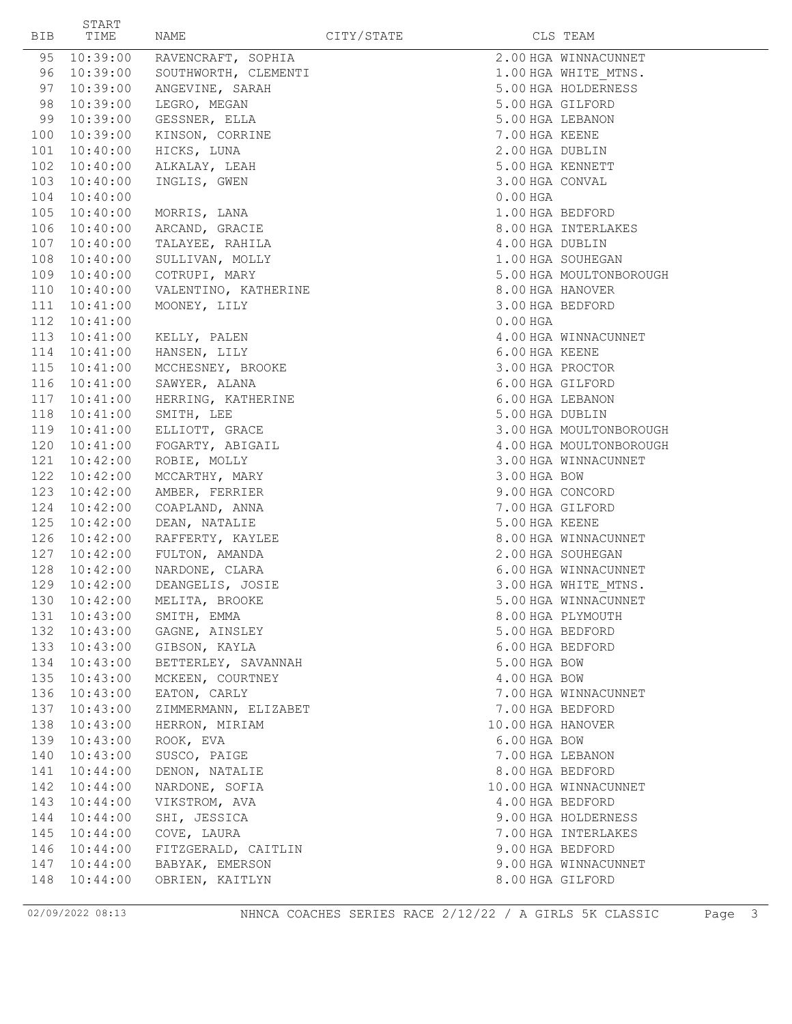| BIB        | ${\tt START}$<br>TIME | NAME                               | CITY/STATE |                   | CLS TEAM                |
|------------|-----------------------|------------------------------------|------------|-------------------|-------------------------|
| 95         | 10:39:00              | RAVENCRAFT, SOPHIA                 |            |                   | 2.00 HGA WINNACUNNET    |
| 96         | 10:39:00              | SOUTHWORTH, CLEMENTI               |            |                   | 1.00 HGA WHITE MTNS.    |
| 97         | 10:39:00              | ANGEVINE, SARAH                    |            |                   | 5.00 HGA HOLDERNESS     |
| 98         | 10:39:00              | LEGRO, MEGAN                       |            | 5.00 HGA GILFORD  |                         |
| 99         | 10:39:00              | GESSNER, ELLA                      |            | 5.00 HGA LEBANON  |                         |
| 100        | 10:39:00              | KINSON, CORRINE                    |            | 7.00 HGA KEENE    |                         |
| 101        | 10:40:00              | HICKS, LUNA                        |            | 2.00 HGA DUBLIN   |                         |
| 102        | 10:40:00              | ALKALAY, LEAH                      |            | 5.00 HGA KENNETT  |                         |
| 103        | 10:40:00              | INGLIS, GWEN                       |            | 3.00 HGA CONVAL   |                         |
| 104        | 10:40:00              |                                    |            | $0.00$ HGA        |                         |
| 105        | 10:40:00              | MORRIS, LANA                       |            | 1.00 HGA BEDFORD  |                         |
| 106        | 10:40:00              | ARCAND, GRACIE                     |            |                   | 8.00 HGA INTERLAKES     |
| 107        | 10:40:00              | TALAYEE, RAHILA                    |            | 4.00 HGA DUBLIN   |                         |
| 108        | 10:40:00              | SULLIVAN, MOLLY                    |            |                   | 1.00 HGA SOUHEGAN       |
|            | 109 10:40:00          | COTRUPI, MARY                      |            |                   | 5.00 HGA MOULTONBOROUGH |
| 110        | 10:40:00              | VALENTINO, KATHERINE               |            | 8.00 HGA HANOVER  |                         |
| 111        | 10:41:00              | MOONEY, LILY                       |            | 3.00 HGA BEDFORD  |                         |
| 112        | 10:41:00              |                                    |            | $0.00$ HGA        |                         |
| 113        | 10:41:00              | KELLY, PALEN                       |            |                   | 4.00 HGA WINNACUNNET    |
| 114        |                       | 10:41:00 HANSEN, LILY              |            | 6.00 HGA KEENE    |                         |
| 115        | 10:41:00              | MCCHESNEY, BROOKE                  |            | 3.00 HGA PROCTOR  |                         |
| 116        | 10:41:00              | SAWYER, ALANA                      |            | 6.00 HGA GILFORD  |                         |
| 117        | 10:41:00              | HERRING, KATHERINE                 |            | 6.00 HGA LEBANON  |                         |
| 118        | 10:41:00              | SMITH, LEE                         |            | 5.00 HGA DUBLIN   |                         |
| 119        | 10:41:00              | ELLIOTT, GRACE                     |            |                   | 3.00 HGA MOULTONBOROUGH |
| 120        | 10:41:00              | FOGARTY, ABIGAIL                   |            |                   | 4.00 HGA MOULTONBOROUGH |
| 121        | 10:42:00              | ROBIE, MOLLY                       |            |                   | 3.00 HGA WINNACUNNET    |
| 122        | 10:42:00              | MCCARTHY, MARY                     |            | 3.00 HGA BOW      |                         |
| 123        | 10:42:00              | AMBER, FERRIER                     |            | 9.00 HGA CONCORD  |                         |
| 124        | 10:42:00              | COAPLAND, ANNA                     |            | 7.00 HGA GILFORD  |                         |
| 125        | 10:42:00              | DEAN, NATALIE                      |            | 5.00 HGA KEENE    |                         |
| 126        | 10:42:00              | RAFFERTY, KAYLEE                   |            |                   | 8.00 HGA WINNACUNNET    |
| 127        | 10:42:00              | FULTON, AMANDA                     |            |                   | 2.00 HGA SOUHEGAN       |
| 128        | 10:42:00              | NARDONE, CLARA                     |            |                   | 6.00 HGA WINNACUNNET    |
| 129        | 10:42:00              | DEANGELIS, JOSIE                   |            |                   | 3.00 HGA WHITE MTNS.    |
|            |                       | 130  10:42:00  MELITA, BROOKE      |            |                   | 5.00 HGA WINNACUNNET    |
| 131        | 10:43:00              | SMITH, EMMA                        |            |                   | 8.00 HGA PLYMOUTH       |
| 132        | 10:43:00              | GAGNE, AINSLEY                     |            | 5.00 HGA BEDFORD  |                         |
| 133        | 10:43:00              | GIBSON, KAYLA                      |            | 6.00 HGA BEDFORD  |                         |
| 134        | 10:43:00              | BETTERLEY, SAVANNAH                |            | 5.00 HGA BOW      |                         |
| 135        | 10:43:00              | MCKEEN, COURTNEY                   |            | 4.00 HGA BOW      |                         |
| 136        | 10:43:00              | EATON, CARLY                       |            |                   | 7.00 HGA WINNACUNNET    |
| 137        | 10:43:00              | ZIMMERMANN, ELIZABET               |            | 7.00 HGA BEDFORD  |                         |
| 138        | 10:43:00              | HERRON, MIRIAM                     |            | 10.00 HGA HANOVER |                         |
| 139        | 10:43:00              | ROOK, EVA                          |            | 6.00 HGA BOW      |                         |
| 140        | 10:43:00              | SUSCO, PAIGE                       |            | 7.00 HGA LEBANON  |                         |
| 141<br>142 | 10:44:00<br>10:44:00  | DENON, NATALIE<br>NARDONE, SOFIA   |            | 8.00 HGA BEDFORD  | 10.00 HGA WINNACUNNET   |
|            |                       |                                    |            |                   |                         |
| 143        | 10:44:00              | VIKSTROM, AVA                      |            | 4.00 HGA BEDFORD  |                         |
| 144        | 10:44:00              | SHI, JESSICA                       |            |                   | 9.00 HGA HOLDERNESS     |
| 145        | 10:44:00              | COVE, LAURA                        |            |                   | 7.00 HGA INTERLAKES     |
| 146        | 10:44:00              | FITZGERALD, CAITLIN                |            | 9.00 HGA BEDFORD  |                         |
| 147<br>148 | 10:44:00<br>10:44:00  | BABYAK, EMERSON<br>OBRIEN, KAITLYN |            | 8.00 HGA GILFORD  | 9.00 HGA WINNACUNNET    |
|            |                       |                                    |            |                   |                         |

02/09/2022 08:13 NHNCA COACHES SERIES RACE 2/12/22 / A GIRLS 5K CLASSIC Page 3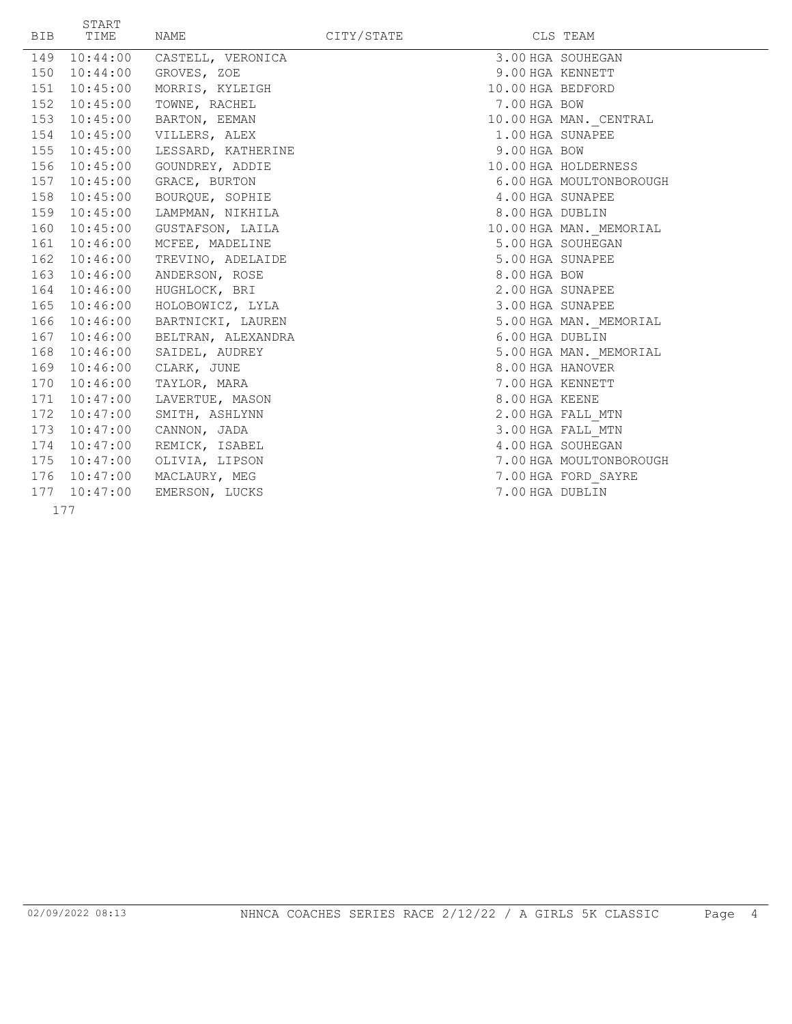| <b>BIB</b> | START<br>TIME | NAME                            | CITY/STATE |                   | CLS TEAM                |
|------------|---------------|---------------------------------|------------|-------------------|-------------------------|
|            |               | 149 10:44:00 CASTELL, VERONICA  |            |                   | 3.00 HGA SOUHEGAN       |
|            | 150 10:44:00  | GROVES, ZOE                     |            | 9.00 HGA KENNETT  |                         |
|            | 151 10:45:00  | MORRIS, KYLEIGH                 |            | 10.00 HGA BEDFORD |                         |
|            | 152 10:45:00  | TOWNE, RACHEL                   |            | 7.00 HGA BOW      |                         |
|            | 153 10:45:00  | BARTON, EEMAN                   |            |                   | 10.00 HGA MAN. CENTRAL  |
|            |               | 154  10:45:00  VILLERS, ALEX    |            | 1.00 HGA SUNAPEE  |                         |
|            |               | 155 10:45:00 LESSARD, KATHERINE |            | 9.00 HGA BOW      |                         |
|            | 156 10:45:00  | GOUNDREY, ADDIE                 |            |                   | 10.00 HGA HOLDERNESS    |
|            | 157 10:45:00  | GRACE, BURTON                   |            |                   | 6.00 HGA MOULTONBOROUGH |
|            | 158 10:45:00  | BOURQUE, SOPHIE                 |            | 4.00 HGA SUNAPEE  |                         |
|            | 159 10:45:00  | LAMPMAN, NIKHILA                |            | 8.00 HGA DUBLIN   |                         |
|            |               | 160 10:45:00 GUSTAFSON, LAILA   |            |                   | 10.00 HGA MAN. MEMORIAL |
|            |               | 161 10:46:00 MCFEE, MADELINE    |            |                   | 5.00 HGA SOUHEGAN       |
|            | 162 10:46:00  | TREVINO, ADELAIDE               |            | 5.00 HGA SUNAPEE  |                         |
|            | 163 10:46:00  | ANDERSON, ROSE                  |            | 8.00 HGA BOW      |                         |
|            | 164 10:46:00  | HUGHLOCK, BRI                   |            | 2.00 HGA SUNAPEE  |                         |
|            | 165 10:46:00  | HOLOBOWICZ, LYLA                |            | 3.00 HGA SUNAPEE  |                         |
|            |               | 166 10:46:00 BARTNICKI, LAUREN  |            |                   | 5.00 HGA MAN. MEMORIAL  |
|            |               | 167 10:46:00 BELTRAN, ALEXANDRA |            | 6.00 HGA DUBLIN   |                         |
|            | 168 10:46:00  | SAIDEL, AUDREY                  |            |                   | 5.00 HGA MAN. MEMORIAL  |
|            | 169 10:46:00  | CLARK, JUNE                     |            | 8.00 HGA HANOVER  |                         |
|            | 170 10:46:00  | TAYLOR, MARA                    |            | 7.00 HGA KENNETT  |                         |
|            | 171  10:47:00 | LAVERTUE, MASON                 |            | 8.00 HGA KEENE    |                         |
|            | 172 10:47:00  | SMITH, ASHLYNN                  |            |                   | 2.00 HGA FALL MTN       |
|            | 173 10:47:00  | CANNON, JADA                    |            |                   | 3.00 HGA FALL MTN       |
|            | 174 10:47:00  | REMICK, ISABEL                  |            |                   | 4.00 HGA SOUHEGAN       |
|            | 175 10:47:00  | OLIVIA, LIPSON                  |            |                   | 7.00 HGA MOULTONBOROUGH |
|            | 176 10:47:00  | MACLAURY, MEG                   |            |                   | 7.00 HGA FORD SAYRE     |
|            | 177 10:47:00  | EMERSON, LUCKS                  |            | 7.00 HGA DUBLIN   |                         |
|            | 177           |                                 |            |                   |                         |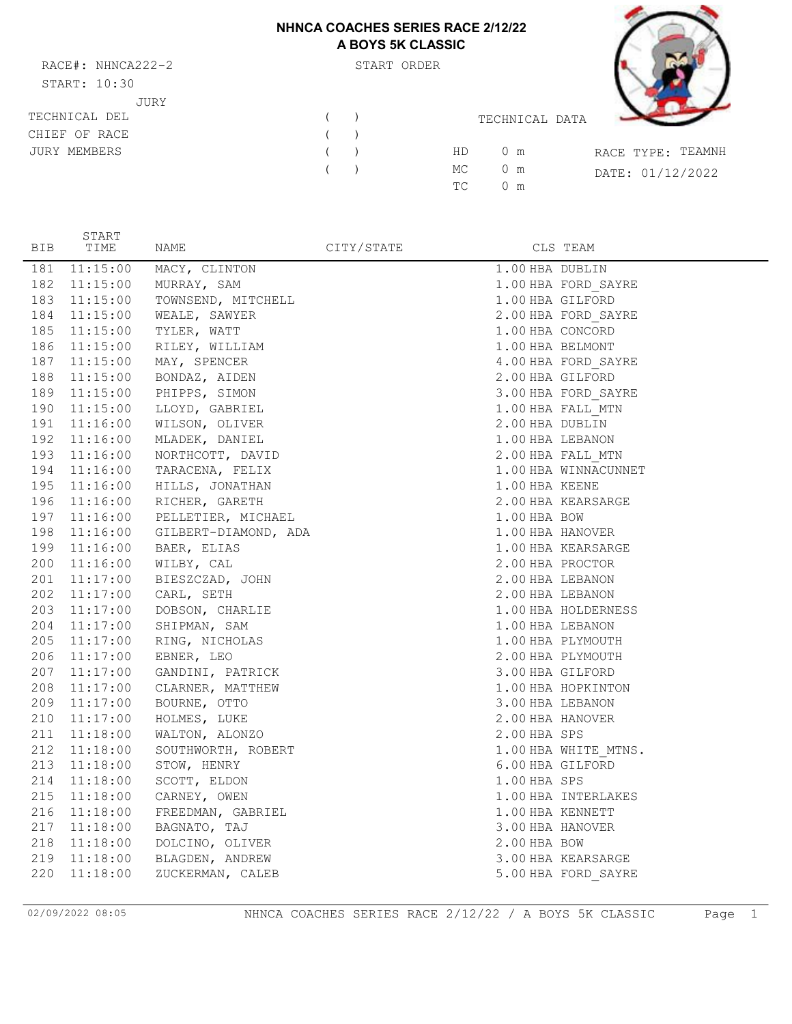# **NHNCA COACHES SERIES RACE 2/12/22 A BOYS 5K CLASSIC**

RACE#: NHNCA222-2 START ORDER  $C(T \wedge D)$  $T \wedge T$  10:30 JURY

START



| START: 10:30        |  |    |                |                   |
|---------------------|--|----|----------------|-------------------|
| JURY                |  |    |                |                   |
| TECHNICAL DEL       |  |    | TECHNICAL DATA |                   |
| CHIEF OF RACE       |  |    |                |                   |
| <b>JURY MEMBERS</b> |  | HD | 0 m            | RACE TYPE: TEAMNH |
|                     |  | MC | $0 \text{ m}$  | DATE: 01/12/2022  |
|                     |  | ТC | $0 \text{ m}$  |                   |
|                     |  |    |                |                   |

| <b>BIB</b> | TIME     | NAME                          | CITY/STATE |                  | CLS TEAM             |
|------------|----------|-------------------------------|------------|------------------|----------------------|
| 181        | 11:15:00 | MACY, CLINTON                 |            | 1.00 HBA DUBLIN  |                      |
| 182        |          | 11:15:00 MURRAY, SAM          |            |                  | 1.00 HBA FORD_SAYRE  |
| 183        |          | 11:15:00 TOWNSEND, MITCHELL   |            | 1.00 HBA GILFORD |                      |
| 184        |          | $11:15:00$ WEALE, SAWYER      |            |                  | 2.00 HBA FORD SAYRE  |
| 185        |          | $11:15:00$ TYLER, WATT        |            | 1.00 HBA CONCORD |                      |
| 186        |          | 11:15:00 RILEY, WILLIAM       |            | 1.00 HBA BELMONT |                      |
| 187        |          | 11:15:00 MAY, SPENCER         |            |                  | 4.00 HBA FORD SAYRE  |
| 188        |          | 11:15:00 BONDAZ, AIDEN        |            | 2.00 HBA GILFORD |                      |
| 189        |          | $11:15:00$ PHIPPS, SIMON      |            |                  | 3.00 HBA FORD SAYRE  |
| 190        |          | $11:15:00$ LLOYD, GABRIEL     |            |                  | 1.00 HBA FALL MTN    |
| 191        |          | 11:16:00 WILSON, OLIVER       |            | 2.00 HBA DUBLIN  |                      |
| 192        |          | 11:16:00 MLADEK, DANIEL       |            | 1.00 HBA LEBANON |                      |
| 193        |          | 11:16:00 NORTHCOTT, DAVID     |            |                  | 2.00 HBA FALL MTN    |
| 194        |          | $11:16:00$ TARACENA, FELIX    |            |                  | 1.00 HBA WINNACUNNET |
| 195        |          | 11:16:00 HILLS, JONATHAN      |            | 1.00 HBA KEENE   |                      |
| 196        |          | 11:16:00 RICHER, GARETH       |            |                  | 2.00 HBA KEARSARGE   |
| 197        |          | 11:16:00 PELLETIER, MICHAEL   |            | 1.00 HBA BOW     |                      |
| 198        |          | 11:16:00 GILBERT-DIAMOND, ADA |            | 1.00 HBA HANOVER |                      |
| 199        |          | $11:16:00$ BAER, ELIAS        |            |                  | 1.00 HBA KEARSARGE   |
| 200        |          | 11:16:00 WILBY, CAL           |            | 2.00 HBA PROCTOR |                      |
| 201        |          | 11:17:00 BIESZCZAD, JOHN      |            | 2.00 HBA LEBANON |                      |
| 202        |          | 11:17:00 CARL, SETH           |            | 2.00 HBA LEBANON |                      |
| 203        |          | $11:17:00$ DOBSON, CHARLIE    |            |                  | 1.00 HBA HOLDERNESS  |
| 204        |          | 11:17:00 SHIPMAN, SAM         |            | 1.00 HBA LEBANON |                      |
| 205        |          | 11:17:00 RING, NICHOLAS       |            |                  | 1.00 HBA PLYMOUTH    |
| 206        |          | $11:17:00$ EBNER, LEO         |            |                  | 2.00 HBA PLYMOUTH    |
| 207        |          | 11:17:00 GANDINI, PATRICK     |            | 3.00 HBA GILFORD |                      |
| 208        |          | 11:17:00 CLARNER, MATTHEW     |            |                  | 1.00 HBA HOPKINTON   |
| 209        |          | $11:17:00$ BOURNE, OTTO       |            | 3.00 HBA LEBANON |                      |
| 210        | 11:17:00 | HOLMES, LUKE                  |            | 2.00 HBA HANOVER |                      |
| 211        | 11:18:00 | WALTON, ALONZO                |            | 2.00 HBA SPS     |                      |
| 212        | 11:18:00 | SOUTHWORTH, ROBERT            |            |                  | 1.00 HBA WHITE MTNS. |
| 213        |          | $11:18:00$ STOW, HENRY        |            | 6.00 HBA GILFORD |                      |
| 214        |          | $11:18:00$ SCOTT, ELDON       |            | 1.00 HBA SPS     |                      |
| 215        |          | $11:18:00$ CARNEY, OWEN       |            |                  | 1.00 HBA INTERLAKES  |
| 216        |          | 11:18:00 FREEDMAN, GABRIEL    |            | 1.00 HBA KENNETT |                      |
| 217        |          | $11:18:00$ BAGNATO, TAJ       |            | 3.00 HBA HANOVER |                      |
| 218        |          | 11:18:00 DOLCINO, OLIVER      |            | 2.00 HBA BOW     |                      |
| 219        |          | 11:18:00 BLAGDEN, ANDREW      |            |                  | 3.00 HBA KEARSARGE   |
| 220        | 11:18:00 | ZUCKERMAN, CALEB              |            |                  | 5.00 HBA FORD SAYRE  |

02/09/2022 08:05 NHNCA COACHES SERIES RACE 2/12/22 / A BOYS 5K CLASSIC Page 1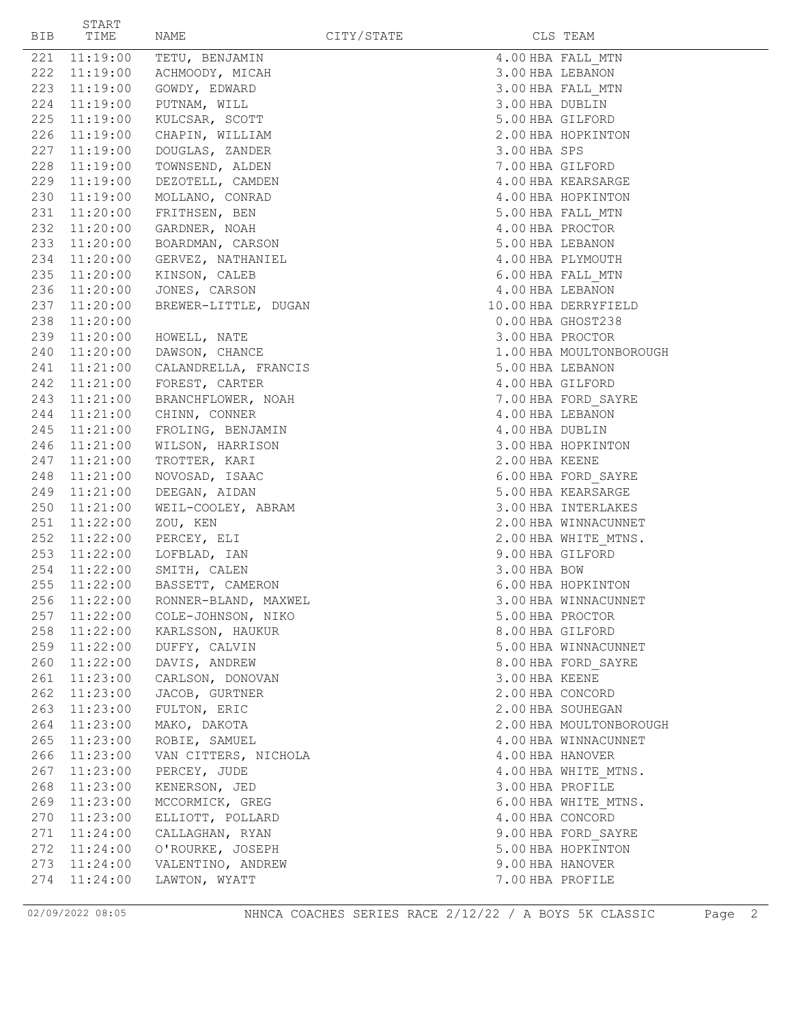| BIB | START<br>TIME | NAME                              | CITY/STATE |                  | CLS TEAM                |
|-----|---------------|-----------------------------------|------------|------------------|-------------------------|
| 221 | 11:19:00      | TETU, BENJAMIN                    |            |                  | 4.00 HBA FALL MTN       |
|     | 222 11:19:00  | ACHMOODY, MICAH                   |            | 3.00 HBA LEBANON |                         |
|     | 223 11:19:00  | GOWDY, EDWARD                     |            |                  | 3.00 HBA FALL MTN       |
|     | 224 11:19:00  | PUTNAM, WILL                      |            | 3.00 HBA DUBLIN  |                         |
|     | 225 11:19:00  | KULCSAR, SCOTT                    |            | 5.00 HBA GILFORD |                         |
|     | 226 11:19:00  | CHAPIN, WILLIAM                   |            |                  | 2.00 HBA HOPKINTON      |
|     | 227 11:19:00  | DOUGLAS, ZANDER                   |            | 3.00 HBA SPS     |                         |
|     | 228 11:19:00  | TOWNSEND, ALDEN                   |            | 7.00 HBA GILFORD |                         |
|     | 229 11:19:00  | DEZOTELL, CAMDEN                  |            |                  | 4.00 HBA KEARSARGE      |
|     | 230 11:19:00  | MOLLANO, CONRAD                   |            |                  | 4.00 HBA HOPKINTON      |
|     | 231 11:20:00  | FRITHSEN, BEN                     |            |                  | 5.00 HBA FALL MTN       |
|     | 232 11:20:00  | GARDNER, NOAH                     |            | 4.00 HBA PROCTOR |                         |
|     | 233 11:20:00  | BOARDMAN, CARSON                  |            | 5.00 HBA LEBANON |                         |
|     | 234 11:20:00  | GERVEZ, NATHANIEL                 |            |                  | 4.00 HBA PLYMOUTH       |
|     | 235 11:20:00  | KINSON, CALEB                     |            |                  | 6.00 HBA FALL MTN       |
|     | 236 11:20:00  | JONES, CARSON                     |            | 4.00 HBA LEBANON |                         |
|     | 237 11:20:00  | BREWER-LITTLE, DUGAN              |            |                  | 10.00 HBA DERRYFIELD    |
|     | 238 11:20:00  |                                   |            |                  | 0.00 HBA GHOST238       |
|     | 239 11:20:00  | HOWELL, NATE                      |            | 3.00 HBA PROCTOR |                         |
|     | 240 11:20:00  | DAWSON, CHANCE                    |            |                  | 1.00 HBA MOULTONBOROUGH |
|     | 241 11:21:00  | CALANDRELLA, FRANCIS              |            | 5.00 HBA LEBANON |                         |
|     | 242 11:21:00  | FOREST, CARTER                    |            | 4.00 HBA GILFORD |                         |
|     | 243 11:21:00  | BRANCHFLOWER, NOAH                |            |                  | 7.00 HBA FORD SAYRE     |
|     | 244 11:21:00  | CHINN, CONNER                     |            | 4.00 HBA LEBANON |                         |
|     | 245 11:21:00  | FROLING, BENJAMIN                 |            | 4.00 HBA DUBLIN  |                         |
|     | 246 11:21:00  | WILSON, HARRISON                  |            |                  | 3.00 HBA HOPKINTON      |
|     | 247 11:21:00  | TROTTER, KARI                     |            | 2.00 HBA KEENE   |                         |
|     | 248 11:21:00  | NOVOSAD, ISAAC                    |            |                  | 6.00 HBA FORD SAYRE     |
|     | 249 11:21:00  | DEEGAN, AIDAN                     |            |                  | 5.00 HBA KEARSARGE      |
|     | 250 11:21:00  | WEIL-COOLEY, ABRAM                |            |                  | 3.00 HBA INTERLAKES     |
|     | 251 11:22:00  | ZOU, KEN                          |            |                  | 2.00 HBA WINNACUNNET    |
|     | 252 11:22:00  | PERCEY, ELI                       |            |                  | 2.00 HBA WHITE MTNS.    |
|     | 253 11:22:00  | LOFBLAD, IAN                      |            | 9.00 HBA GILFORD |                         |
|     | 254 11:22:00  | SMITH, CALEN                      |            | 3.00 HBA BOW     |                         |
| 255 | 11:22:00      | BASSETT, CAMERON                  |            |                  | 6.00 HBA HOPKINTON      |
|     |               | 256 11:22:00 RONNER-BLAND, MAXWEL |            |                  | 3.00 HBA WINNACUNNET    |
|     | 257 11:22:00  | COLE-JOHNSON, NIKO                |            |                  | 5.00 HBA PROCTOR        |
|     | 258 11:22:00  | KARLSSON, HAUKUR                  |            |                  | 8.00 HBA GILFORD        |
|     | 259 11:22:00  | DUFFY, CALVIN                     |            |                  | 5.00 HBA WINNACUNNET    |
|     | 260 11:22:00  | DAVIS, ANDREW                     |            |                  | 8.00 HBA FORD SAYRE     |
|     | 261 11:23:00  | CARLSON, DONOVAN                  |            | 3.00 HBA KEENE   |                         |
|     | 262 11:23:00  | JACOB, GURTNER                    |            | 2.00 HBA CONCORD |                         |
|     | 263 11:23:00  | FULTON, ERIC                      |            |                  | 2.00 HBA SOUHEGAN       |
|     | 264 11:23:00  | MAKO, DAKOTA                      |            |                  | 2.00 HBA MOULTONBOROUGH |
|     | 265 11:23:00  | ROBIE, SAMUEL                     |            |                  | 4.00 HBA WINNACUNNET    |
|     | 266 11:23:00  | VAN CITTERS, NICHOLA              |            | 4.00 HBA HANOVER |                         |
|     | 267 11:23:00  | PERCEY, JUDE                      |            |                  | 4.00 HBA WHITE MTNS.    |
|     | 268 11:23:00  | KENERSON, JED                     |            | 3.00 HBA PROFILE |                         |
|     | 269 11:23:00  | MCCORMICK, GREG                   |            |                  | 6.00 HBA WHITE MTNS.    |
|     | 270 11:23:00  | ELLIOTT, POLLARD                  |            | 4.00 HBA CONCORD |                         |
|     | 271 11:24:00  | CALLAGHAN, RYAN                   |            |                  | 9.00 HBA FORD SAYRE     |
|     | 272 11:24:00  | O'ROURKE, JOSEPH                  |            |                  | 5.00 HBA HOPKINTON      |
|     | 273 11:24:00  | VALENTINO, ANDREW                 |            | 9.00 HBA HANOVER |                         |
| 274 | 11:24:00      | LAWTON, WYATT                     |            | 7.00 HBA PROFILE |                         |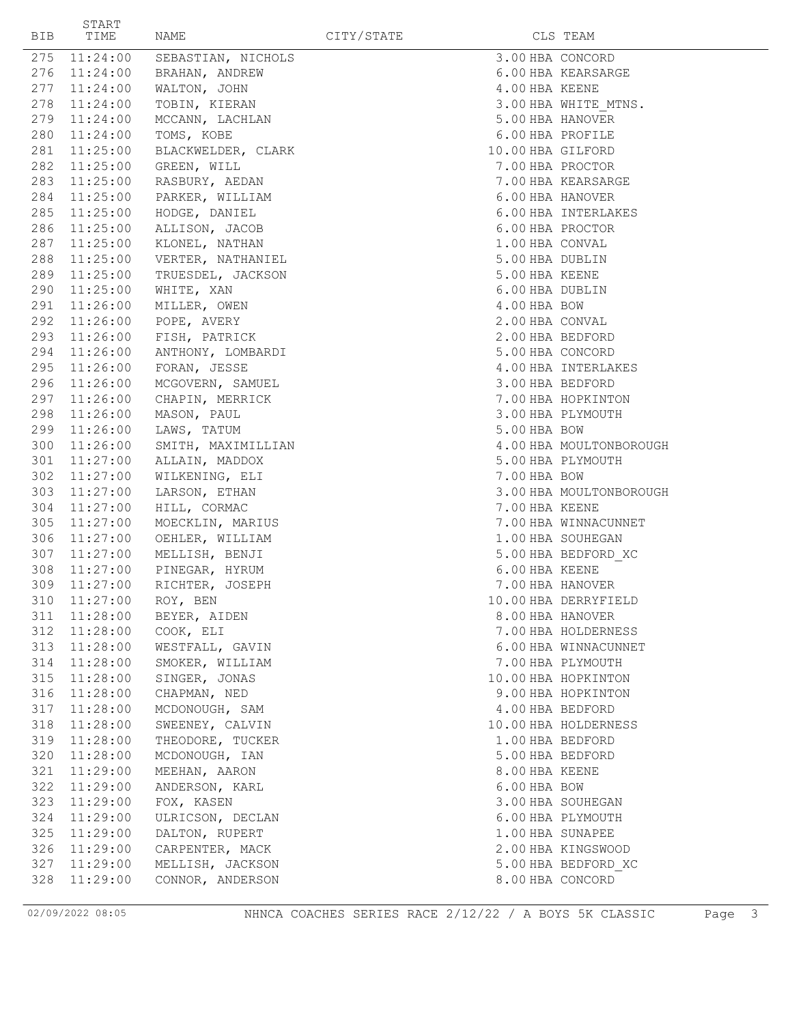| BIB | START<br>TIME | NAME                    | CITY/STATE |              | CLS TEAM                |
|-----|---------------|-------------------------|------------|--------------|-------------------------|
| 275 | 11:24:00      | SEBASTIAN, NICHOLS      |            |              | 3.00 HBA CONCORD        |
|     | 276 11:24:00  | BRAHAN, ANDREW          |            |              | 6.00 HBA KEARSARGE      |
| 277 | 11:24:00      | WALTON, JOHN            |            |              | 4.00 HBA KEENE          |
| 278 | 11:24:00      | TOBIN, KIERAN           |            |              | 3.00 HBA WHITE MTNS.    |
|     | 279 11:24:00  | MCCANN, LACHLAN         |            |              | 5.00 HBA HANOVER        |
|     | 280 11:24:00  | TOMS, KOBE              |            |              | 6.00 HBA PROFILE        |
|     | 281 11:25:00  | BLACKWELDER, CLARK      |            |              | 10.00 HBA GILFORD       |
|     | 282 11:25:00  | GREEN, WILL             |            |              | 7.00 HBA PROCTOR        |
|     | 283 11:25:00  | RASBURY, AEDAN          |            |              | 7.00 HBA KEARSARGE      |
|     | 284 11:25:00  | PARKER, WILLIAM         |            |              | 6.00 HBA HANOVER        |
|     | 285 11:25:00  | HODGE, DANIEL           |            |              | 6.00 HBA INTERLAKES     |
|     | 286 11:25:00  | ALLISON, JACOB          |            |              | 6.00 HBA PROCTOR        |
|     | 287 11:25:00  | KLONEL, NATHAN          |            |              | 1.00 HBA CONVAL         |
| 288 | 11:25:00      | VERTER, NATHANIEL       |            |              | 5.00 HBA DUBLIN         |
|     | 289 11:25:00  | TRUESDEL, JACKSON       |            |              | 5.00 HBA KEENE          |
|     | 290 11:25:00  | WHITE, XAN              |            |              | 6.00 HBA DUBLIN         |
|     | 291 11:26:00  | MILLER, OWEN            |            | 4.00 HBA BOW |                         |
|     | 292 11:26:00  | POPE, AVERY             |            |              | 2.00 HBA CONVAL         |
|     | 293 11:26:00  | FISH, PATRICK           |            |              | 2.00 HBA BEDFORD        |
|     | 294 11:26:00  | ANTHONY, LOMBARDI       |            |              | 5.00 HBA CONCORD        |
|     | 295 11:26:00  | FORAN, JESSE            |            |              | 4.00 HBA INTERLAKES     |
|     | 296 11:26:00  | MCGOVERN, SAMUEL        |            |              | 3.00 HBA BEDFORD        |
|     | 297 11:26:00  | CHAPIN, MERRICK         |            |              | 7.00 HBA HOPKINTON      |
| 298 | 11:26:00      | MASON, PAUL             |            |              | 3.00 HBA PLYMOUTH       |
|     | 299 11:26:00  | LAWS, TATUM             |            | 5.00 HBA BOW |                         |
|     | 300 11:26:00  | SMITH, MAXIMILLIAN      |            |              | 4.00 HBA MOULTONBOROUGH |
| 301 | 11:27:00      | ALLAIN, MADDOX          |            |              | 5.00 HBA PLYMOUTH       |
| 302 | 11:27:00      | WILKENING, ELI          |            | 7.00 HBA BOW |                         |
| 303 | 11:27:00      | LARSON, ETHAN           |            |              | 3.00 HBA MOULTONBOROUGH |
|     | 304 11:27:00  | HILL, CORMAC            |            |              | 7.00 HBA KEENE          |
| 305 | 11:27:00      | MOECKLIN, MARIUS        |            |              | 7.00 HBA WINNACUNNET    |
|     | 306 11:27:00  | OEHLER, WILLIAM         |            |              | 1.00 HBA SOUHEGAN       |
|     | 307 11:27:00  | MELLISH, BENJI          |            |              | 5.00 HBA BEDFORD XC     |
| 308 |               | 11:27:00 PINEGAR, HYRUM |            |              | 6.00 HBA KEENE          |
| 309 | 11:27:00      | RICHTER, JOSEPH         |            |              | 7.00 HBA HANOVER        |
|     |               | 310 11:27:00 ROY, BEN   |            |              | 10.00 HBA DERRYFIELD    |
| 311 | 11:28:00      | BEYER, AIDEN            |            |              | 8.00 HBA HANOVER        |
| 312 | 11:28:00      | COOK, ELI               |            |              | 7.00 HBA HOLDERNESS     |
|     | 313 11:28:00  | WESTFALL, GAVIN         |            |              | 6.00 HBA WINNACUNNET    |
|     | 314 11:28:00  | SMOKER, WILLIAM         |            |              | 7.00 HBA PLYMOUTH       |
| 315 | 11:28:00      | SINGER, JONAS           |            |              | 10.00 HBA HOPKINTON     |
| 316 | 11:28:00      | CHAPMAN, NED            |            |              | 9.00 HBA HOPKINTON      |
| 317 | 11:28:00      | MCDONOUGH, SAM          |            |              | 4.00 HBA BEDFORD        |
| 318 | 11:28:00      | SWEENEY, CALVIN         |            |              | 10.00 HBA HOLDERNESS    |
| 319 | 11:28:00      | THEODORE, TUCKER        |            |              | 1.00 HBA BEDFORD        |
| 320 | 11:28:00      | MCDONOUGH, IAN          |            |              | 5.00 HBA BEDFORD        |
| 321 | 11:29:00      | MEEHAN, AARON           |            |              | 8.00 HBA KEENE          |
| 322 | 11:29:00      | ANDERSON, KARL          |            | 6.00 HBA BOW |                         |
| 323 | 11:29:00      | FOX, KASEN              |            |              | 3.00 HBA SOUHEGAN       |
| 324 | 11:29:00      | ULRICSON, DECLAN        |            |              | 6.00 HBA PLYMOUTH       |
| 325 | 11:29:00      | DALTON, RUPERT          |            |              | 1.00 HBA SUNAPEE        |
| 326 | 11:29:00      | CARPENTER, MACK         |            |              | 2.00 HBA KINGSWOOD      |
| 327 | 11:29:00      | MELLISH, JACKSON        |            |              | 5.00 HBA BEDFORD XC     |
| 328 | 11:29:00      | CONNOR, ANDERSON        |            |              | 8.00 HBA CONCORD        |
|     |               |                         |            |              |                         |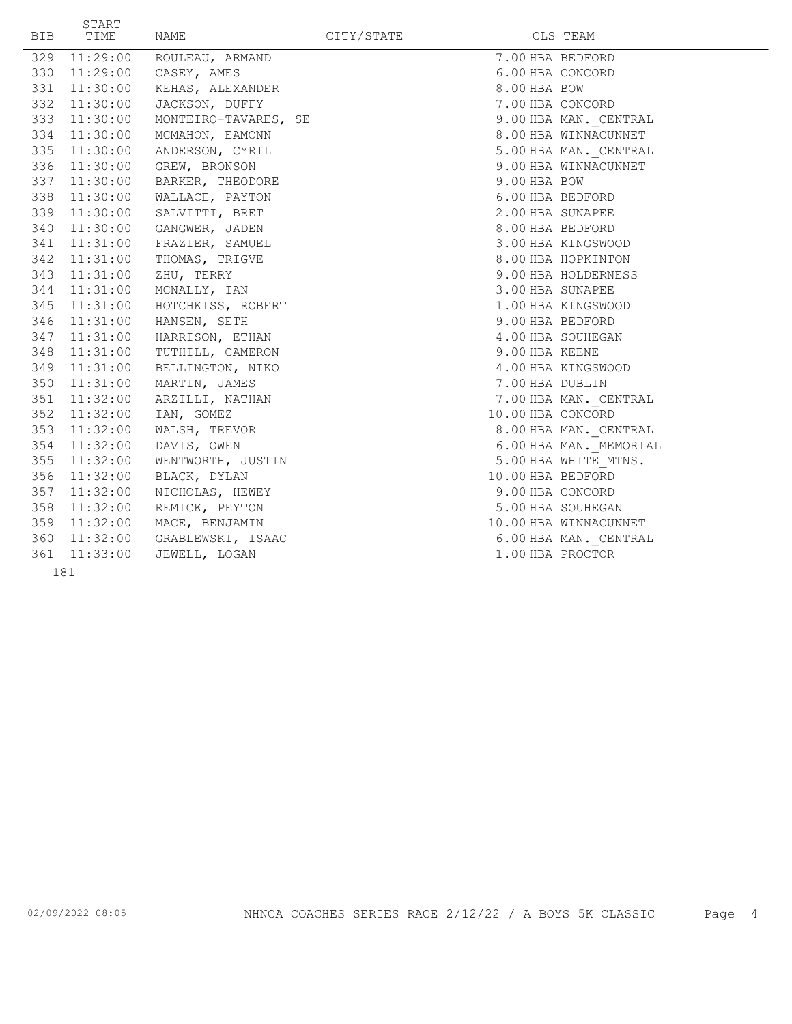| BIB | START<br>TIME | NAME                           | CITY/STATE |                   | CLS TEAM               |
|-----|---------------|--------------------------------|------------|-------------------|------------------------|
|     | 329 11:29:00  | ROULEAU, ARMAND                |            | 7.00 HBA BEDFORD  |                        |
|     | 330 11:29:00  | CASEY, AMES                    |            | 6.00 HBA CONCORD  |                        |
| 331 | 11:30:00      | KEHAS, ALEXANDER               |            | 8.00 HBA BOW      |                        |
|     | 332 11:30:00  | JACKSON, DUFFY                 |            | 7.00 HBA CONCORD  |                        |
|     | 333 11:30:00  | MONTEIRO-TAVARES, SE           |            |                   | 9.00 HBA MAN. CENTRAL  |
| 334 | 11:30:00      | MCMAHON, EAMONN                |            |                   | 8.00 HBA WINNACUNNET   |
|     | 335 11:30:00  | ANDERSON, CYRIL                |            |                   | 5.00 HBA MAN. CENTRAL  |
|     | 336 11:30:00  | GREW, BRONSON                  |            |                   | 9.00 HBA WINNACUNNET   |
|     | 337 11:30:00  | BARKER, THEODORE               |            | 9.00 HBA BOW      |                        |
|     | 338 11:30:00  | WALLACE, PAYTON                |            | 6.00 HBA BEDFORD  |                        |
|     | 339 11:30:00  | SALVITTI, BRET                 |            | 2.00 HBA SUNAPEE  |                        |
|     | 340 11:30:00  | GANGWER, JADEN                 |            | 8.00 HBA BEDFORD  |                        |
|     | 341 11:31:00  | FRAZIER, SAMUEL                |            |                   | 3.00 HBA KINGSWOOD     |
|     | 342 11:31:00  | THOMAS, TRIGVE                 |            |                   | 8.00 HBA HOPKINTON     |
|     | 343 11:31:00  | ZHU, TERRY                     |            |                   | 9.00 HBA HOLDERNESS    |
|     | 344 11:31:00  | MCNALLY, IAN                   |            | 3.00 HBA SUNAPEE  |                        |
|     | 345 11:31:00  | HOTCHKISS, ROBERT              |            |                   | 1.00 HBA KINGSWOOD     |
|     | 346 11:31:00  | HANSEN, SETH                   |            | 9.00 HBA BEDFORD  |                        |
| 347 | 11:31:00      | HARRISON, ETHAN                |            |                   | 4.00 HBA SOUHEGAN      |
| 348 | 11:31:00      | TUTHILL, CAMERON               |            | 9.00 HBA KEENE    |                        |
| 349 | 11:31:00      | BELLINGTON, NIKO               |            |                   | 4.00 HBA KINGSWOOD     |
| 350 | 11:31:00      | MARTIN, JAMES                  |            | 7.00 HBA DUBLIN   |                        |
|     | 351 11:32:00  | ARZILLI, NATHAN                |            |                   | 7.00 HBA MAN. CENTRAL  |
|     | 352 11:32:00  | IAN, GOMEZ                     |            | 10.00 HBA CONCORD |                        |
|     | 353 11:32:00  | WALSH, TREVOR                  |            |                   | 8.00 HBA MAN. CENTRAL  |
|     | 354 11:32:00  | DAVIS, OWEN                    |            |                   | 6.00 HBA MAN. MEMORIAL |
|     | 355 11:32:00  | WENTWORTH, JUSTIN              |            |                   | 5.00 HBA WHITE MTNS.   |
|     | 356 11:32:00  | BLACK, DYLAN                   |            | 10.00 HBA BEDFORD |                        |
|     | 357 11:32:00  | NICHOLAS, HEWEY                |            | 9.00 HBA CONCORD  |                        |
|     | 358 11:32:00  | REMICK, PEYTON                 |            |                   | 5.00 HBA SOUHEGAN      |
|     | 359 11:32:00  | MACE, BENJAMIN                 |            |                   | 10.00 HBA WINNACUNNET  |
|     |               | 360 11:32:00 GRABLEWSKI, ISAAC |            |                   | 6.00 HBA MAN. CENTRAL  |
|     | 361 11:33:00  | JEWELL, LOGAN                  |            | 1.00 HBA PROCTOR  |                        |
|     | 181           |                                |            |                   |                        |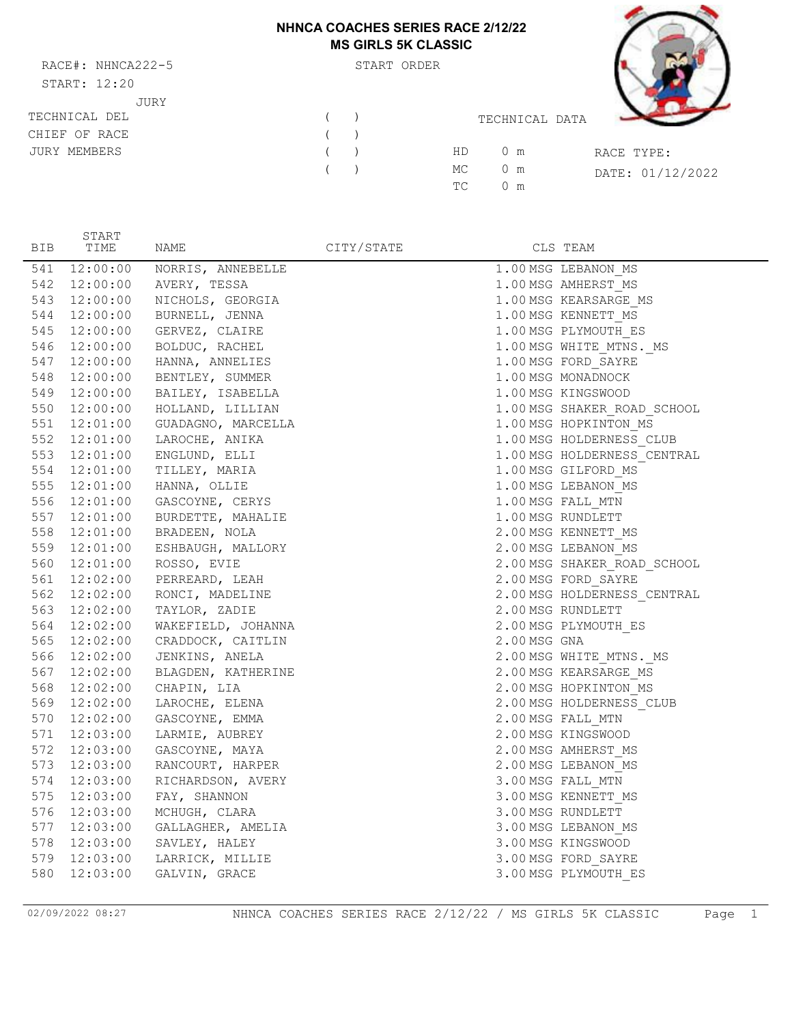#### **NHNCA COACHES SERIES RACE 2/12/22 MS GIRLS 5K CLASSIC**

RACE#: NHNCA222-5 START: 12:20 JURY TECHNICAL DEL  $($ 

JURY MEMBERS ( )

CHIEF OF RACE

| <b>NHNCA COACHES SERIES RACE 2/12/22</b> | <b>MS GIRLS 5K CLASSIC</b> |                |            |                  |
|------------------------------------------|----------------------------|----------------|------------|------------------|
|                                          | START ORDER                |                |            |                  |
|                                          |                            | TECHNICAL DATA |            |                  |
|                                          | HD                         | $0 \text{ m}$  | RACE TYPE: |                  |
|                                          | МC                         | m              |            | DATE: 01/12/2022 |

TC 0 m

| <b>BIB</b> | START<br>TIME | NAME                            | CITY/STATE |              | CLS TEAM                    |
|------------|---------------|---------------------------------|------------|--------------|-----------------------------|
| 541        | 12:00:00      | NORRIS, ANNEBELLE               |            |              | 1.00 MSG LEBANON MS         |
|            |               | 542 12:00:00 AVERY, TESSA       |            |              | 1.00 MSG AMHERST MS         |
| 543        |               | 12:00:00 NICHOLS, GEORGIA       |            |              | 1.00 MSG KEARSARGE MS       |
| 544        |               | 12:00:00 BURNELL, JENNA         |            |              | 1.00 MSG KENNETT MS         |
|            |               | 545 12:00:00 GERVEZ, CLAIRE     |            |              | 1.00 MSG PLYMOUTH ES        |
|            |               | 546 12:00:00 BOLDUC, RACHEL     |            |              | 1.00 MSG WHITE_MTNS._MS     |
|            |               | 547 12:00:00 HANNA, ANNELIES    |            |              | 1.00 MSG FORD SAYRE         |
| 548        |               | 12:00:00 BENTLEY, SUMMER        |            |              | 1.00 MSG MONADNOCK          |
|            |               | 549 12:00:00 BAILEY, ISABELLA   |            |              | 1.00 MSG KINGSWOOD          |
|            |               | 550 12:00:00 HOLLAND, LILLIAN   |            |              | 1.00 MSG SHAKER ROAD SCHOOL |
|            |               | 551 12:01:00 GUADAGNO, MARCELLA |            |              | 1.00 MSG HOPKINTON MS       |
|            |               | 552 12:01:00 LAROCHE, ANIKA     |            |              | 1.00 MSG HOLDERNESS_CLUB    |
|            |               | 553 12:01:00 ENGLUND, ELLI      |            |              | 1.00 MSG HOLDERNESS CENTRAL |
|            |               | 554 12:01:00 TILLEY, MARIA      |            |              | 1.00 MSG GILFORD MS         |
|            |               | 555 12:01:00 HANNA, OLLIE       |            |              | 1.00 MSG LEBANON MS         |
|            |               | 556 12:01:00 GASCOYNE, CERYS    |            |              | 1.00 MSG FALL MTN           |
| 557        |               | 12:01:00 BURDETTE, MAHALIE      |            |              | 1.00 MSG RUNDLETT           |
|            |               | 558 12:01:00 BRADEEN, NOLA      |            |              | 2.00 MSG KENNETT_MS         |
|            |               | 559 12:01:00 ESHBAUGH, MALLORY  |            |              | 2.00 MSG LEBANON MS         |
|            |               | 560 12:01:00 ROSSO, EVIE        |            |              | 2.00 MSG SHAKER ROAD SCHOOL |
| 561        |               | $12:02:00$ PERREARD, LEAH       |            |              | 2.00 MSG FORD SAYRE         |
|            |               | 562 12:02:00 RONCI, MADELINE    |            |              | 2.00 MSG HOLDERNESS_CENTRAL |
|            |               | 563 12:02:00 TAYLOR, ZADIE      |            |              | 2.00 MSG RUNDLETT           |
|            |               | 564 12:02:00 WAKEFIELD, JOHANNA |            |              | 2.00 MSG PLYMOUTH ES        |
|            |               | 565 12:02:00 CRADDOCK, CAITLIN  |            | 2.00 MSG GNA |                             |
|            |               | 566 12:02:00 JENKINS, ANELA     |            |              | 2.00 MSG WHITE_MTNS._MS     |
|            |               | 567 12:02:00 BLAGDEN, KATHERINE |            |              | 2.00 MSG KEARSARGE MS       |
|            |               | 568 12:02:00 CHAPIN, LIA        |            |              | 2.00 MSG HOPKINTON MS       |
|            |               | 569 12:02:00 LAROCHE, ELENA     |            |              | 2.00 MSG HOLDERNESS CLUB    |
| 570        |               | 12:02:00 GASCOYNE, EMMA         |            |              | 2.00 MSG FALL MTN           |
| 571        | 12:03:00      | LARMIE, AUBREY                  |            |              | 2.00 MSG KINGSWOOD          |
| 572        | 12:03:00      | GASCOYNE, MAYA                  |            |              | 2.00 MSG AMHERST MS         |
| 573        | 12:03:00      | RANCOURT, HARPER                |            |              | 2.00 MSG LEBANON MS         |
| 574        |               | 12:03:00 RICHARDSON, AVERY      |            |              | 3.00 MSG FALL MTN           |
| 575        |               | 12:03:00 FAY, SHANNON           |            |              | 3.00 MSG KENNETT MS         |
|            |               | 576 12:03:00 MCHUGH, CLARA      |            |              | 3.00 MSG RUNDLETT           |
|            |               | 577 12:03:00 GALLAGHER, AMELIA  |            |              | 3.00 MSG LEBANON_MS         |
| 578        |               | 12:03:00 SAVLEY, HALEY          |            |              | 3.00 MSG KINGSWOOD          |
| 579        | 12:03:00      | LARRICK, MILLIE                 |            |              | 3.00 MSG FORD_SAYRE         |
| 580        | 12:03:00      | GALVIN, GRACE                   |            |              | 3.00 MSG PLYMOUTH ES        |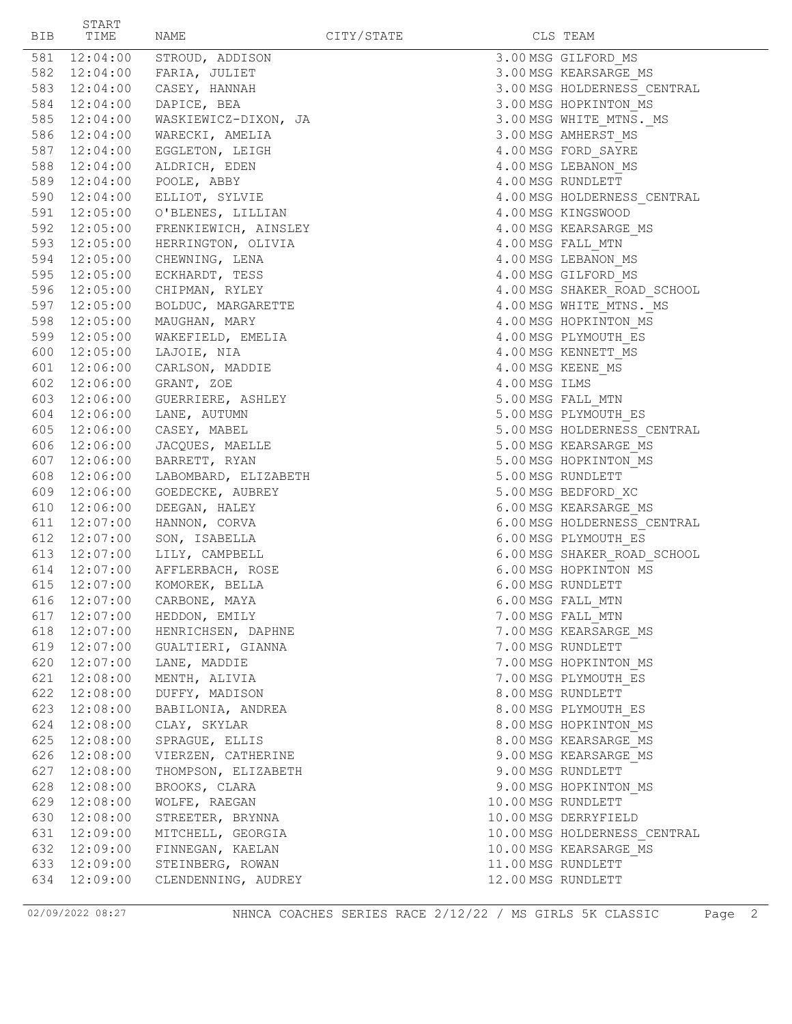| BIB. | START<br>TIME                | NAME                            | CITY/STATE |               | CLS TEAM                                            |
|------|------------------------------|---------------------------------|------------|---------------|-----------------------------------------------------|
|      | 581 12:04:00                 | STROUD, ADDISON                 |            |               | 3.00 MSG GILFORD MS                                 |
|      | 582 12:04:00                 | FARIA, JULIET                   |            |               | 3.00 MSG KEARSARGE MS                               |
|      | 583 12:04:00                 | CASEY, HANNAH                   |            |               | 3.00 MSG HOLDERNESS CENTRAL                         |
|      | 584 12:04:00                 | DAPICE, BEA                     |            |               | 3.00 MSG HOPKINTON MS                               |
|      | 585 12:04:00                 | WASKIEWICZ-DIXON, JA            |            |               | 3.00 MSG WHITE MTNS. MS                             |
|      | 586 12:04:00                 | WARECKI, AMELIA                 |            |               | 3.00 MSG AMHERST MS                                 |
|      | 587 12:04:00                 | EGGLETON, LEIGH                 |            |               | 4.00 MSG FORD SAYRE                                 |
|      | 588 12:04:00                 | ALDRICH, EDEN                   |            |               | 4.00 MSG LEBANON MS                                 |
|      | 589 12:04:00                 | POOLE, ABBY                     |            |               | 4.00 MSG RUNDLETT                                   |
|      | 590 12:04:00                 | ELLIOT, SYLVIE                  |            |               | 4.00 MSG HOLDERNESS CENTRAL                         |
|      | 591 12:05:00                 | O'BLENES, LILLIAN               |            |               | 4.00 MSG KINGSWOOD                                  |
|      | 592 12:05:00                 | FRENKIEWICH, AINSLEY            |            |               | 4.00 MSG KEARSARGE MS                               |
|      | 593 12:05:00                 | HERRINGTON, OLIVIA              |            |               | 4.00 MSG FALL MTN                                   |
|      | 594 12:05:00                 | CHEWNING, LENA                  |            |               | 4.00 MSG LEBANON MS                                 |
|      | 595 12:05:00                 | ECKHARDT, TESS                  |            |               | 4.00 MSG GILFORD MS                                 |
|      | 596 12:05:00                 | CHIPMAN, RYLEY                  |            |               | 4.00 MSG SHAKER ROAD SCHOOL                         |
|      | 597 12:05:00                 | BOLDUC, MARGARETTE              |            |               | 4.00 MSG WHITE MTNS. MS                             |
| 598  | 12:05:00                     | MAUGHAN, MARY                   |            |               | 4.00 MSG HOPKINTON MS                               |
|      | 599 12:05:00                 | WAKEFIELD, EMELIA               |            |               | 4.00 MSG PLYMOUTH ES                                |
|      | 600 12:05:00                 | LAJOIE, NIA                     |            |               | 4.00 MSG KENNETT MS                                 |
|      | 601 12:06:00                 | CARLSON, MADDIE                 |            |               | 4.00 MSG KEENE MS                                   |
|      | 602 12:06:00                 | GRANT, ZOE                      |            | 4.00 MSG ILMS |                                                     |
|      | 603 12:06:00                 | GUERRIERE, ASHLEY               |            |               | 5.00 MSG FALL MTN                                   |
|      | 604 12:06:00                 | LANE, AUTUMN                    |            |               | 5.00 MSG PLYMOUTH ES                                |
|      | 605 12:06:00                 | CASEY, MABEL                    |            |               | 5.00 MSG HOLDERNESS CENTRAL                         |
|      | 606 12:06:00                 | JACQUES, MAELLE                 |            |               | 5.00 MSG KEARSARGE MS                               |
|      | 607 12:06:00                 | BARRETT, RYAN                   |            |               | 5.00 MSG HOPKINTON MS                               |
| 608  | 12:06:00                     | LABOMBARD, ELIZABETH            |            |               | 5.00 MSG RUNDLETT                                   |
|      | 609 12:06:00                 | GOEDECKE, AUBREY                |            |               | 5.00 MSG BEDFORD XC                                 |
|      | 610 12:06:00                 | DEEGAN, HALEY                   |            |               | 6.00 MSG KEARSARGE MS                               |
|      | 611 12:07:00<br>612 12:07:00 | HANNON, CORVA                   |            |               | 6.00 MSG HOLDERNESS CENTRAL                         |
|      | 613 12:07:00                 | SON, ISABELLA<br>LILY, CAMPBELL |            |               | 6.00 MSG PLYMOUTH ES<br>6.00 MSG SHAKER ROAD SCHOOL |
|      |                              | 614 12:07:00 AFFLERBACH, ROSE   |            |               | 6.00 MSG HOPKINTON MS                               |
|      | 615 12:07:00                 | KOMOREK, BELLA                  |            |               | 6.00 MSG RUNDLETT                                   |
|      |                              | 616  12:07:00  CARBONE, MAYA    |            |               | 6.00 MSG FALL MTN                                   |
|      | 617 12:07:00                 | HEDDON, EMILY                   |            |               | 7.00 MSG FALL MTN                                   |
|      | 618 12:07:00                 | HENRICHSEN, DAPHNE              |            |               | 7.00 MSG KEARSARGE MS                               |
|      | 619 12:07:00                 | GUALTIERI, GIANNA               |            |               | 7.00 MSG RUNDLETT                                   |
|      | 620 12:07:00                 | LANE, MADDIE                    |            |               | 7.00 MSG HOPKINTON MS                               |
|      | 621 12:08:00                 | MENTH, ALIVIA                   |            |               | 7.00 MSG PLYMOUTH ES                                |
|      | 622 12:08:00                 | DUFFY, MADISON                  |            |               | 8.00 MSG RUNDLETT                                   |
|      | 623 12:08:00                 | BABILONIA, ANDREA               |            |               | 8.00 MSG PLYMOUTH ES                                |
|      | 624 12:08:00                 | CLAY, SKYLAR                    |            |               | 8.00 MSG HOPKINTON MS                               |
|      | 625 12:08:00                 | SPRAGUE, ELLIS                  |            |               | 8.00 MSG KEARSARGE MS                               |
|      | 626 12:08:00                 | VIERZEN, CATHERINE              |            |               | 9.00 MSG KEARSARGE MS                               |
|      | 627 12:08:00                 | THOMPSON, ELIZABETH             |            |               | 9.00 MSG RUNDLETT                                   |
|      | 628 12:08:00                 | BROOKS, CLARA                   |            |               | 9.00 MSG HOPKINTON MS                               |
|      | 629 12:08:00                 | WOLFE, RAEGAN                   |            |               | 10.00 MSG RUNDLETT                                  |
|      | 630 12:08:00                 | STREETER, BRYNNA                |            |               | 10.00 MSG DERRYFIELD                                |
|      | 631 12:09:00                 | MITCHELL, GEORGIA               |            |               | 10.00 MSG HOLDERNESS CENTRAL                        |
|      | 632 12:09:00                 | FINNEGAN, KAELAN                |            |               | 10.00 MSG KEARSARGE MS                              |
|      | 633 12:09:00                 | STEINBERG, ROWAN                |            |               | 11.00 MSG RUNDLETT                                  |
|      | 634 12:09:00                 | CLENDENNING, AUDREY             |            |               | 12.00 MSG RUNDLETT                                  |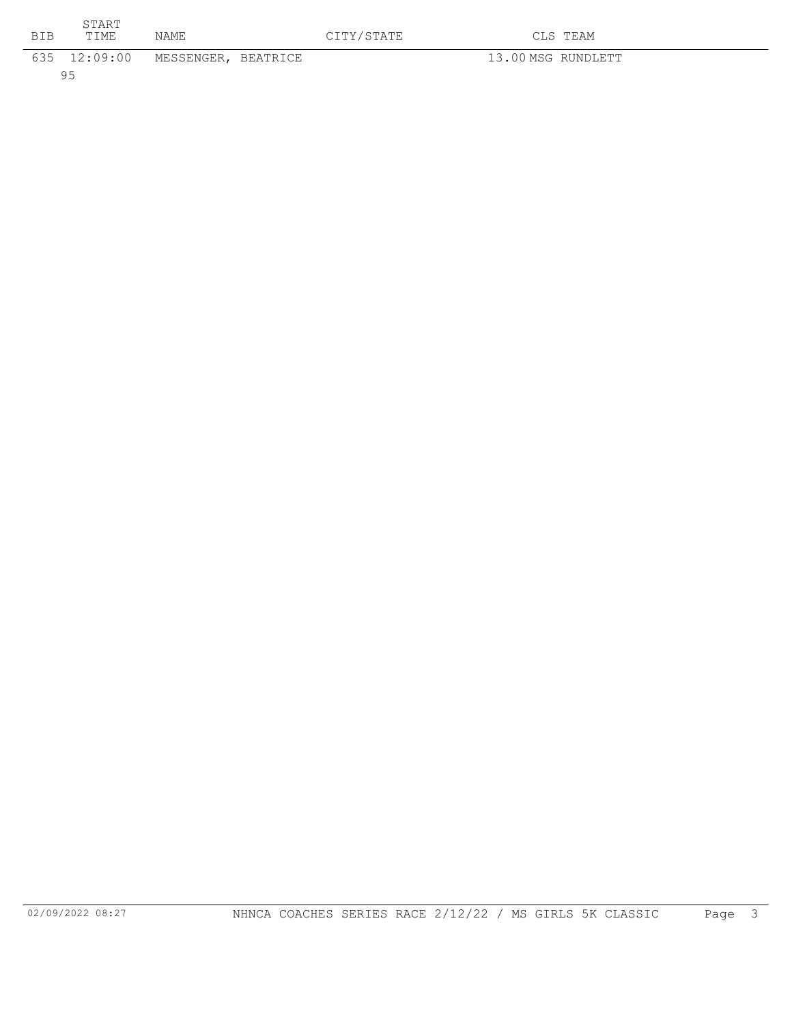| <b>BIB</b> | START<br>TIME | <b>NAME</b>                      | CITY/STATE | CLS TEAM           |
|------------|---------------|----------------------------------|------------|--------------------|
|            |               | 635 12:09:00 MESSENGER, BEATRICE |            | 13.00 MSG RUNDLETT |
|            | 95            |                                  |            |                    |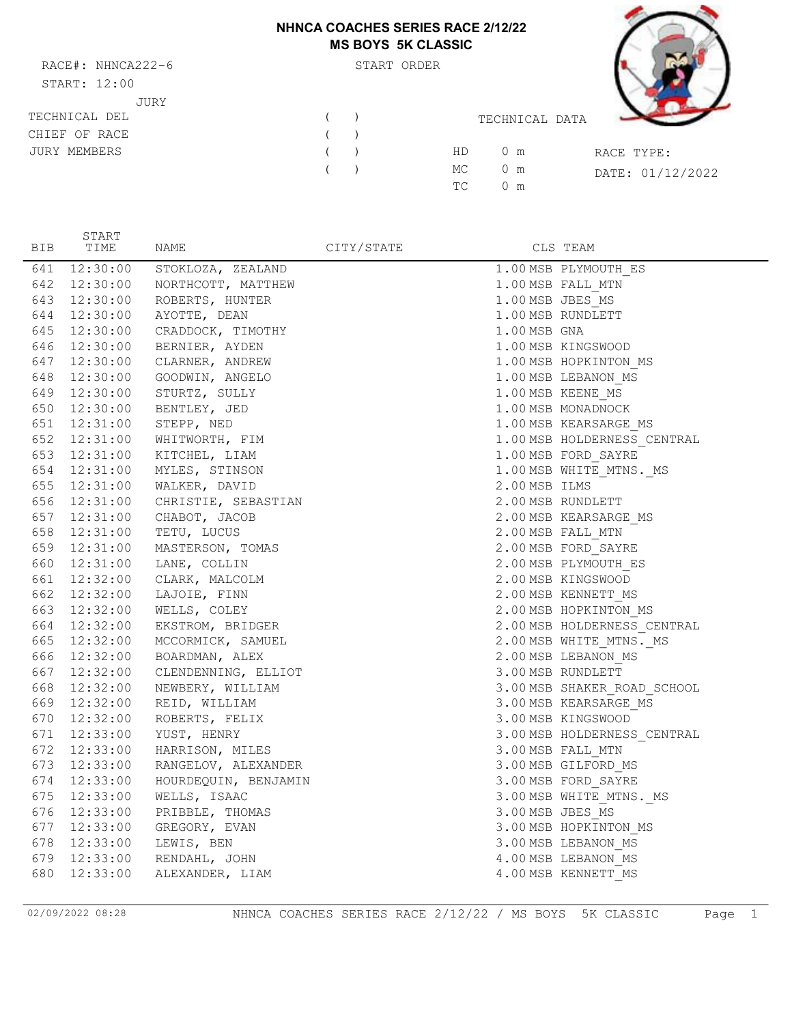## **NHNCA COACHES SERIES RACE 2/12/22 MS BOYS 5K CLASSIC**

RACE#: NHNCA222-6 START ORDER START: 12:00 JURY

START



| START: 12:00        |   |                      |                  |
|---------------------|---|----------------------|------------------|
| JURY                |   |                      |                  |
| TECHNICAL DEL       | ( | TECHNICAL DATA       |                  |
| CHIEF OF RACE       | ( |                      |                  |
| <b>JURY MEMBERS</b> | ( | HD.<br>0 m           | RACE TYPE:       |
|                     | ( | MC<br>$0 \text{ m}$  | DATE: 01/12/2022 |
|                     |   | TC.<br>$0 \text{ m}$ |                  |
|                     |   |                      |                  |

| BIB | <b>DIWLI</b><br>TIME | NAME                             | CITY/STATE |                  | CLS TEAM                    |
|-----|----------------------|----------------------------------|------------|------------------|-----------------------------|
|     | 641 12:30:00         | STOKLOZA, ZEALAND                |            |                  | 1.00 MSB PLYMOUTH ES        |
|     | 642 12:30:00         | NORTHCOTT, MATTHEW               |            |                  | 1.00 MSB FALL MTN           |
|     | 643 12:30:00         | ROBERTS, HUNTER                  |            | 1.00 MSB JBES MS |                             |
|     | 644 12:30:00         | AYOTTE, DEAN                     |            |                  | 1.00 MSB RUNDLETT           |
|     | 645 12:30:00         | CRADDOCK, TIMOTHY                |            | 1.00 MSB GNA     |                             |
|     | 646 12:30:00         | BERNIER, AYDEN                   |            |                  | 1.00 MSB KINGSWOOD          |
|     | 647 12:30:00         | CLARNER, ANDREW                  |            |                  | 1.00 MSB HOPKINTON MS       |
|     |                      | 648 12:30:00 GOODWIN, ANGELO     |            |                  | 1.00 MSB LEBANON_MS         |
|     |                      | 649 12:30:00 STURTZ, SULLY       |            |                  | 1.00 MSB KEENE MS           |
|     |                      | 650 12:30:00 BENTLEY, JED        |            |                  | 1.00 MSB MONADNOCK          |
|     |                      | 651 12:31:00 STEPP, NED          |            |                  | 1.00 MSB KEARSARGE_MS       |
|     | 652 12:31:00         | WHITWORTH, FIM                   |            |                  | 1.00 MSB HOLDERNESS CENTRAL |
|     |                      | 653 12:31:00 KITCHEL, LIAM       |            |                  | 1.00 MSB FORD_SAYRE         |
|     | 654 12:31:00         | MYLES, STINSON                   |            |                  | 1.00 MSB WHITE_MTNS._MS     |
|     |                      | 655 12:31:00 WALKER, DAVID       |            | 2.00 MSB ILMS    |                             |
|     |                      | 656 12:31:00 CHRISTIE, SEBASTIAN |            |                  | 2.00 MSB RUNDLETT           |
|     | 657 12:31:00         | CHABOT, JACOB                    |            |                  | 2.00 MSB KEARSARGE_MS       |
|     | 658 12:31:00         | TETU, LUCUS                      |            |                  | 2.00 MSB FALL MTN           |
|     |                      | 659  12:31:00  MASTERSON, TOMAS  |            |                  | 2.00 MSB FORD SAYRE         |
|     |                      | 660 12:31:00 LANE, COLLIN        |            |                  | 2.00 MSB PLYMOUTH ES        |
|     |                      | 661 12:32:00 CLARK, MALCOLM      |            |                  | 2.00 MSB KINGSWOOD          |
|     |                      | 662 12:32:00 LAJOIE, FINN        |            |                  | 2.00 MSB KENNETT_MS         |
|     |                      | 663 12:32:00 WELLS, COLEY        |            |                  | 2.00 MSB HOPKINTON MS       |
|     | 664 12:32:00         | EKSTROM, BRIDGER                 |            |                  | 2.00 MSB HOLDERNESS_CENTRAL |
|     | 665 12:32:00         | MCCORMICK, SAMUEL                |            |                  | 2.00 MSB WHITE MTNS. MS     |
|     | 666 12:32:00         | BOARDMAN, ALEX                   |            |                  | 2.00 MSB LEBANON MS         |
|     | 667 12:32:00         | CLENDENNING, ELLIOT              |            |                  | 3.00 MSB RUNDLETT           |
|     |                      | 668 12:32:00 NEWBERY, WILLIAM    |            |                  | 3.00 MSB SHAKER_ROAD_SCHOOL |
|     | 669 12:32:00         | REID, WILLIAM                    |            |                  | 3.00 MSB KEARSARGE MS       |
|     | 670 12:32:00         | ROBERTS, FELIX                   |            |                  | 3.00 MSB KINGSWOOD          |
|     | 671 12:33:00         | YUST, HENRY                      |            |                  | 3.00 MSB HOLDERNESS CENTRAL |
|     | 672 12:33:00         | HARRISON, MILES                  |            |                  | 3.00 MSB FALL MTN           |
|     | 673 12:33:00         | RANGELOV, ALEXANDER              |            |                  | 3.00 MSB GILFORD_MS         |
|     | 674 12:33:00         | HOURDEQUIN, BENJAMIN             |            |                  | 3.00 MSB FORD_SAYRE         |
|     | 675 12:33:00         | WELLS, ISAAC                     |            |                  | 3.00 MSB WHITE_MTNS._MS     |
|     | 676 12:33:00         | PRIBBLE, THOMAS                  |            | 3.00 MSB JBES MS |                             |
|     | 677 12:33:00         | GREGORY, EVAN                    |            |                  | 3.00 MSB HOPKINTON MS       |
|     |                      | 678 12:33:00 LEWIS, BEN          |            |                  | 3.00 MSB LEBANON MS         |
|     | 679 12:33:00         | RENDAHL, JOHN                    |            |                  | 4.00 MSB LEBANON MS         |
| 680 | 12:33:00             | ALEXANDER, LIAM                  |            |                  | 4.00 MSB KENNETT MS         |

02/09/2022 08:28 NHNCA COACHES SERIES RACE 2/12/22 / MS BOYS 5K CLASSIC Page 1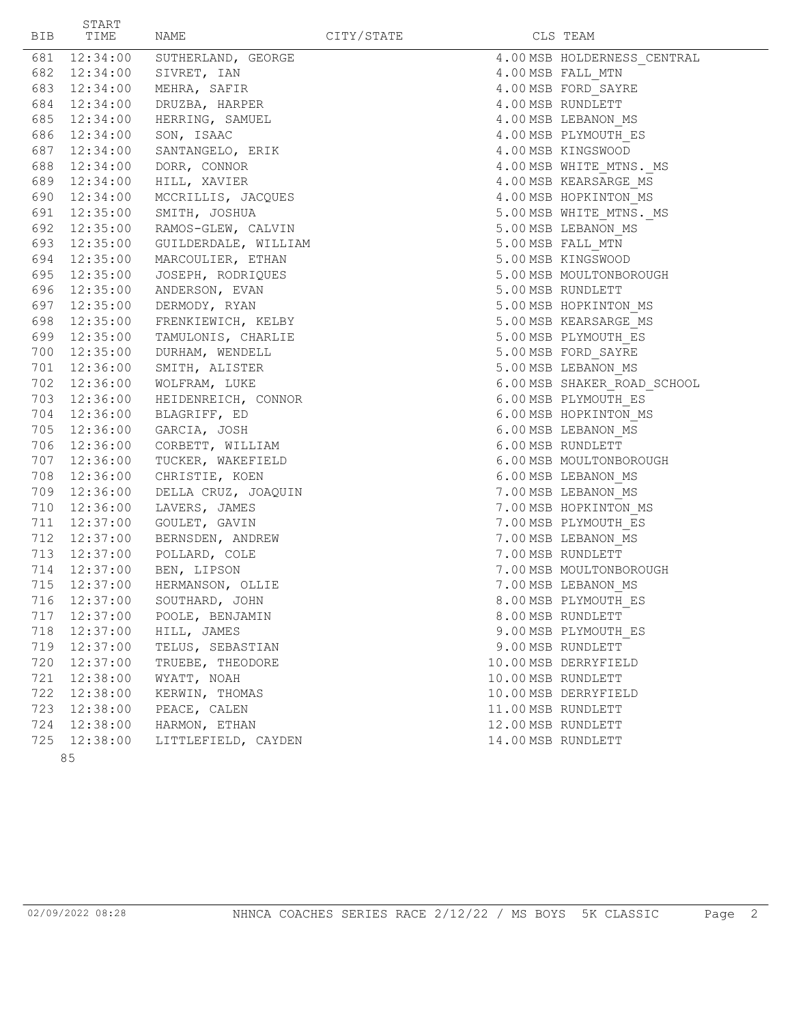| 681 12:34:00<br>SUTHERLAND, GEORGE<br>4.00 MSB HOLDERNESS CENTRAL<br>682 12:34:00 SIVRET, IAN<br>4.00 MSB FALL MTN<br>4.00 MSB FORD_SAYRE<br>683 12:34:00<br>MEHRA, SAFIR<br>684<br>12:34:00<br>4.00 MSB RUNDLETT<br>DRUZBA, HARPER<br>685 12:34:00<br>HERRING, SAMUEL<br>4.00 MSB LEBANON MS<br>686 12:34:00<br>4.00 MSB PLYMOUTH ES<br>SON, ISAAC<br>687 12:34:00<br>4.00 MSB KINGSWOOD<br>SANTANGELO, ERIK<br>688 12:34:00<br>DORR, CONNOR<br>4.00 MSB WHITE_MTNS._MS<br>HILL, XAVIER<br>689 12:34:00<br>4.00 MSB KEARSARGE_MS<br>690 12:34:00<br>4.00 MSB HOPKINTON_MS<br>MCCRILLIS, JACQUES<br>691 12:35:00<br>SMITH, JOSHUA<br>5.00 MSB WHITE_MTNS._MS<br>5.00 MSB LEBANON MS<br>692<br>12:35:00<br>RAMOS-GLEW, CALVIN<br>5.00 MSB FALL_MTN<br>693 12:35:00<br>GUILDERDALE, WILLIAM<br>694 12:35:00<br>5.00 MSB KINGSWOOD<br>MARCOULIER, ETHAN<br>695 12:35:00<br>JOSEPH, RODRIQUES<br>5.00 MSB MOULTONBOROUGH<br>696 12:35:00<br>ANDERSON, EVAN<br>5.00 MSB RUNDLETT<br>697 12:35:00<br>DERMODY, RYAN<br>5.00 MSB HOPKINTON MS<br>698 12:35:00<br>5.00 MSB KEARSARGE MS<br>FRENKIEWICH, KELBY<br>699 12:35:00<br>5.00 MSB PLYMOUTH ES<br>TAMULONIS, CHARLIE<br>700 12:35:00<br>5.00 MSB FORD SAYRE<br>DURHAM, WENDELL<br>5.00 MSB LEBANON MS<br>701 12:36:00<br>SMITH, ALISTER<br>6.00 MSB SHAKER ROAD SCHOOL<br>702 12:36:00<br>WOLFRAM, LUKE<br>6.00 MSB PLYMOUTH ES<br>703 12:36:00<br>HEIDENREICH, CONNOR<br>704 12:36:00<br>6.00 MSB HOPKINTON MS<br>BLAGRIFF, ED<br>705 12:36:00<br>6.00 MSB LEBANON MS<br>GARCIA, JOSH<br>706 12:36:00<br>6.00 MSB RUNDLETT<br>CORBETT, WILLIAM<br>707 12:36:00<br>TUCKER, WAKEFIELD<br>6.00 MSB MOULTONBOROUGH<br>708 12:36:00<br>CHRISTIE, KOEN<br>6.00 MSB LEBANON MS<br>709 12:36:00<br>7.00 MSB LEBANON MS<br>DELLA CRUZ, JOAQUIN<br>710 12:36:00<br>LAVERS, JAMES<br>7.00 MSB HOPKINTON MS<br>711 12:37:00<br>GOULET, GAVIN<br>7.00 MSB PLYMOUTH ES<br>712 12:37:00<br>7.00 MSB LEBANON MS<br>BERNSDEN, ANDREW<br>POLLARD, COLE<br>713 12:37:00<br>7.00 MSB RUNDLETT<br>714 12:37:00<br>BEN, LIPSON<br>7.00 MSB MOULTONBOROUGH<br>715<br>12:37:00<br>HERMANSON, OLLIE<br>7.00 MSB LEBANON MS<br>716<br>12:37:00<br>SOUTHARD, JOHN<br>8.00 MSB PLYMOUTH ES<br>POOLE, BENJAMIN<br>717<br>12:37:00<br>8.00 MSB RUNDLETT<br>HILL, JAMES<br>718<br>12:37:00<br>9.00 MSB PLYMOUTH ES<br>9.00 MSB RUNDLETT<br>719<br>12:37:00<br>TELUS, SEBASTIAN<br>720<br>12:37:00<br>TRUEBE, THEODORE<br>10.00 MSB DERRYFIELD<br>WYATT, NOAH<br>721<br>12:38:00<br>10.00 MSB RUNDLETT<br>722<br>12:38:00<br>KERWIN, THOMAS<br>10.00 MSB DERRYFIELD<br>PEACE, CALEN<br>723<br>12:38:00<br>11.00 MSB RUNDLETT<br>724<br>12:38:00<br>HARMON, ETHAN<br>12.00 MSB RUNDLETT<br>725<br>12:38:00<br>14.00 MSB RUNDLETT<br>LITTLEFIELD, CAYDEN<br>85 | BIB | START<br>TIME | NAME | CITY/STATE | CLS TEAM |
|-----------------------------------------------------------------------------------------------------------------------------------------------------------------------------------------------------------------------------------------------------------------------------------------------------------------------------------------------------------------------------------------------------------------------------------------------------------------------------------------------------------------------------------------------------------------------------------------------------------------------------------------------------------------------------------------------------------------------------------------------------------------------------------------------------------------------------------------------------------------------------------------------------------------------------------------------------------------------------------------------------------------------------------------------------------------------------------------------------------------------------------------------------------------------------------------------------------------------------------------------------------------------------------------------------------------------------------------------------------------------------------------------------------------------------------------------------------------------------------------------------------------------------------------------------------------------------------------------------------------------------------------------------------------------------------------------------------------------------------------------------------------------------------------------------------------------------------------------------------------------------------------------------------------------------------------------------------------------------------------------------------------------------------------------------------------------------------------------------------------------------------------------------------------------------------------------------------------------------------------------------------------------------------------------------------------------------------------------------------------------------------------------------------------------------------------------------------------------------------------------------------------------------------------------------------------------------------------------------------------------------------------------------------------------------------------------------------------------------------------------------------------------------|-----|---------------|------|------------|----------|
|                                                                                                                                                                                                                                                                                                                                                                                                                                                                                                                                                                                                                                                                                                                                                                                                                                                                                                                                                                                                                                                                                                                                                                                                                                                                                                                                                                                                                                                                                                                                                                                                                                                                                                                                                                                                                                                                                                                                                                                                                                                                                                                                                                                                                                                                                                                                                                                                                                                                                                                                                                                                                                                                                                                                                                             |     |               |      |            |          |
|                                                                                                                                                                                                                                                                                                                                                                                                                                                                                                                                                                                                                                                                                                                                                                                                                                                                                                                                                                                                                                                                                                                                                                                                                                                                                                                                                                                                                                                                                                                                                                                                                                                                                                                                                                                                                                                                                                                                                                                                                                                                                                                                                                                                                                                                                                                                                                                                                                                                                                                                                                                                                                                                                                                                                                             |     |               |      |            |          |
|                                                                                                                                                                                                                                                                                                                                                                                                                                                                                                                                                                                                                                                                                                                                                                                                                                                                                                                                                                                                                                                                                                                                                                                                                                                                                                                                                                                                                                                                                                                                                                                                                                                                                                                                                                                                                                                                                                                                                                                                                                                                                                                                                                                                                                                                                                                                                                                                                                                                                                                                                                                                                                                                                                                                                                             |     |               |      |            |          |
|                                                                                                                                                                                                                                                                                                                                                                                                                                                                                                                                                                                                                                                                                                                                                                                                                                                                                                                                                                                                                                                                                                                                                                                                                                                                                                                                                                                                                                                                                                                                                                                                                                                                                                                                                                                                                                                                                                                                                                                                                                                                                                                                                                                                                                                                                                                                                                                                                                                                                                                                                                                                                                                                                                                                                                             |     |               |      |            |          |
|                                                                                                                                                                                                                                                                                                                                                                                                                                                                                                                                                                                                                                                                                                                                                                                                                                                                                                                                                                                                                                                                                                                                                                                                                                                                                                                                                                                                                                                                                                                                                                                                                                                                                                                                                                                                                                                                                                                                                                                                                                                                                                                                                                                                                                                                                                                                                                                                                                                                                                                                                                                                                                                                                                                                                                             |     |               |      |            |          |
|                                                                                                                                                                                                                                                                                                                                                                                                                                                                                                                                                                                                                                                                                                                                                                                                                                                                                                                                                                                                                                                                                                                                                                                                                                                                                                                                                                                                                                                                                                                                                                                                                                                                                                                                                                                                                                                                                                                                                                                                                                                                                                                                                                                                                                                                                                                                                                                                                                                                                                                                                                                                                                                                                                                                                                             |     |               |      |            |          |
|                                                                                                                                                                                                                                                                                                                                                                                                                                                                                                                                                                                                                                                                                                                                                                                                                                                                                                                                                                                                                                                                                                                                                                                                                                                                                                                                                                                                                                                                                                                                                                                                                                                                                                                                                                                                                                                                                                                                                                                                                                                                                                                                                                                                                                                                                                                                                                                                                                                                                                                                                                                                                                                                                                                                                                             |     |               |      |            |          |
|                                                                                                                                                                                                                                                                                                                                                                                                                                                                                                                                                                                                                                                                                                                                                                                                                                                                                                                                                                                                                                                                                                                                                                                                                                                                                                                                                                                                                                                                                                                                                                                                                                                                                                                                                                                                                                                                                                                                                                                                                                                                                                                                                                                                                                                                                                                                                                                                                                                                                                                                                                                                                                                                                                                                                                             |     |               |      |            |          |
|                                                                                                                                                                                                                                                                                                                                                                                                                                                                                                                                                                                                                                                                                                                                                                                                                                                                                                                                                                                                                                                                                                                                                                                                                                                                                                                                                                                                                                                                                                                                                                                                                                                                                                                                                                                                                                                                                                                                                                                                                                                                                                                                                                                                                                                                                                                                                                                                                                                                                                                                                                                                                                                                                                                                                                             |     |               |      |            |          |
|                                                                                                                                                                                                                                                                                                                                                                                                                                                                                                                                                                                                                                                                                                                                                                                                                                                                                                                                                                                                                                                                                                                                                                                                                                                                                                                                                                                                                                                                                                                                                                                                                                                                                                                                                                                                                                                                                                                                                                                                                                                                                                                                                                                                                                                                                                                                                                                                                                                                                                                                                                                                                                                                                                                                                                             |     |               |      |            |          |
|                                                                                                                                                                                                                                                                                                                                                                                                                                                                                                                                                                                                                                                                                                                                                                                                                                                                                                                                                                                                                                                                                                                                                                                                                                                                                                                                                                                                                                                                                                                                                                                                                                                                                                                                                                                                                                                                                                                                                                                                                                                                                                                                                                                                                                                                                                                                                                                                                                                                                                                                                                                                                                                                                                                                                                             |     |               |      |            |          |
|                                                                                                                                                                                                                                                                                                                                                                                                                                                                                                                                                                                                                                                                                                                                                                                                                                                                                                                                                                                                                                                                                                                                                                                                                                                                                                                                                                                                                                                                                                                                                                                                                                                                                                                                                                                                                                                                                                                                                                                                                                                                                                                                                                                                                                                                                                                                                                                                                                                                                                                                                                                                                                                                                                                                                                             |     |               |      |            |          |
|                                                                                                                                                                                                                                                                                                                                                                                                                                                                                                                                                                                                                                                                                                                                                                                                                                                                                                                                                                                                                                                                                                                                                                                                                                                                                                                                                                                                                                                                                                                                                                                                                                                                                                                                                                                                                                                                                                                                                                                                                                                                                                                                                                                                                                                                                                                                                                                                                                                                                                                                                                                                                                                                                                                                                                             |     |               |      |            |          |
|                                                                                                                                                                                                                                                                                                                                                                                                                                                                                                                                                                                                                                                                                                                                                                                                                                                                                                                                                                                                                                                                                                                                                                                                                                                                                                                                                                                                                                                                                                                                                                                                                                                                                                                                                                                                                                                                                                                                                                                                                                                                                                                                                                                                                                                                                                                                                                                                                                                                                                                                                                                                                                                                                                                                                                             |     |               |      |            |          |
|                                                                                                                                                                                                                                                                                                                                                                                                                                                                                                                                                                                                                                                                                                                                                                                                                                                                                                                                                                                                                                                                                                                                                                                                                                                                                                                                                                                                                                                                                                                                                                                                                                                                                                                                                                                                                                                                                                                                                                                                                                                                                                                                                                                                                                                                                                                                                                                                                                                                                                                                                                                                                                                                                                                                                                             |     |               |      |            |          |
|                                                                                                                                                                                                                                                                                                                                                                                                                                                                                                                                                                                                                                                                                                                                                                                                                                                                                                                                                                                                                                                                                                                                                                                                                                                                                                                                                                                                                                                                                                                                                                                                                                                                                                                                                                                                                                                                                                                                                                                                                                                                                                                                                                                                                                                                                                                                                                                                                                                                                                                                                                                                                                                                                                                                                                             |     |               |      |            |          |
|                                                                                                                                                                                                                                                                                                                                                                                                                                                                                                                                                                                                                                                                                                                                                                                                                                                                                                                                                                                                                                                                                                                                                                                                                                                                                                                                                                                                                                                                                                                                                                                                                                                                                                                                                                                                                                                                                                                                                                                                                                                                                                                                                                                                                                                                                                                                                                                                                                                                                                                                                                                                                                                                                                                                                                             |     |               |      |            |          |
|                                                                                                                                                                                                                                                                                                                                                                                                                                                                                                                                                                                                                                                                                                                                                                                                                                                                                                                                                                                                                                                                                                                                                                                                                                                                                                                                                                                                                                                                                                                                                                                                                                                                                                                                                                                                                                                                                                                                                                                                                                                                                                                                                                                                                                                                                                                                                                                                                                                                                                                                                                                                                                                                                                                                                                             |     |               |      |            |          |
|                                                                                                                                                                                                                                                                                                                                                                                                                                                                                                                                                                                                                                                                                                                                                                                                                                                                                                                                                                                                                                                                                                                                                                                                                                                                                                                                                                                                                                                                                                                                                                                                                                                                                                                                                                                                                                                                                                                                                                                                                                                                                                                                                                                                                                                                                                                                                                                                                                                                                                                                                                                                                                                                                                                                                                             |     |               |      |            |          |
|                                                                                                                                                                                                                                                                                                                                                                                                                                                                                                                                                                                                                                                                                                                                                                                                                                                                                                                                                                                                                                                                                                                                                                                                                                                                                                                                                                                                                                                                                                                                                                                                                                                                                                                                                                                                                                                                                                                                                                                                                                                                                                                                                                                                                                                                                                                                                                                                                                                                                                                                                                                                                                                                                                                                                                             |     |               |      |            |          |
|                                                                                                                                                                                                                                                                                                                                                                                                                                                                                                                                                                                                                                                                                                                                                                                                                                                                                                                                                                                                                                                                                                                                                                                                                                                                                                                                                                                                                                                                                                                                                                                                                                                                                                                                                                                                                                                                                                                                                                                                                                                                                                                                                                                                                                                                                                                                                                                                                                                                                                                                                                                                                                                                                                                                                                             |     |               |      |            |          |
|                                                                                                                                                                                                                                                                                                                                                                                                                                                                                                                                                                                                                                                                                                                                                                                                                                                                                                                                                                                                                                                                                                                                                                                                                                                                                                                                                                                                                                                                                                                                                                                                                                                                                                                                                                                                                                                                                                                                                                                                                                                                                                                                                                                                                                                                                                                                                                                                                                                                                                                                                                                                                                                                                                                                                                             |     |               |      |            |          |
|                                                                                                                                                                                                                                                                                                                                                                                                                                                                                                                                                                                                                                                                                                                                                                                                                                                                                                                                                                                                                                                                                                                                                                                                                                                                                                                                                                                                                                                                                                                                                                                                                                                                                                                                                                                                                                                                                                                                                                                                                                                                                                                                                                                                                                                                                                                                                                                                                                                                                                                                                                                                                                                                                                                                                                             |     |               |      |            |          |
|                                                                                                                                                                                                                                                                                                                                                                                                                                                                                                                                                                                                                                                                                                                                                                                                                                                                                                                                                                                                                                                                                                                                                                                                                                                                                                                                                                                                                                                                                                                                                                                                                                                                                                                                                                                                                                                                                                                                                                                                                                                                                                                                                                                                                                                                                                                                                                                                                                                                                                                                                                                                                                                                                                                                                                             |     |               |      |            |          |
|                                                                                                                                                                                                                                                                                                                                                                                                                                                                                                                                                                                                                                                                                                                                                                                                                                                                                                                                                                                                                                                                                                                                                                                                                                                                                                                                                                                                                                                                                                                                                                                                                                                                                                                                                                                                                                                                                                                                                                                                                                                                                                                                                                                                                                                                                                                                                                                                                                                                                                                                                                                                                                                                                                                                                                             |     |               |      |            |          |
|                                                                                                                                                                                                                                                                                                                                                                                                                                                                                                                                                                                                                                                                                                                                                                                                                                                                                                                                                                                                                                                                                                                                                                                                                                                                                                                                                                                                                                                                                                                                                                                                                                                                                                                                                                                                                                                                                                                                                                                                                                                                                                                                                                                                                                                                                                                                                                                                                                                                                                                                                                                                                                                                                                                                                                             |     |               |      |            |          |
|                                                                                                                                                                                                                                                                                                                                                                                                                                                                                                                                                                                                                                                                                                                                                                                                                                                                                                                                                                                                                                                                                                                                                                                                                                                                                                                                                                                                                                                                                                                                                                                                                                                                                                                                                                                                                                                                                                                                                                                                                                                                                                                                                                                                                                                                                                                                                                                                                                                                                                                                                                                                                                                                                                                                                                             |     |               |      |            |          |
|                                                                                                                                                                                                                                                                                                                                                                                                                                                                                                                                                                                                                                                                                                                                                                                                                                                                                                                                                                                                                                                                                                                                                                                                                                                                                                                                                                                                                                                                                                                                                                                                                                                                                                                                                                                                                                                                                                                                                                                                                                                                                                                                                                                                                                                                                                                                                                                                                                                                                                                                                                                                                                                                                                                                                                             |     |               |      |            |          |
|                                                                                                                                                                                                                                                                                                                                                                                                                                                                                                                                                                                                                                                                                                                                                                                                                                                                                                                                                                                                                                                                                                                                                                                                                                                                                                                                                                                                                                                                                                                                                                                                                                                                                                                                                                                                                                                                                                                                                                                                                                                                                                                                                                                                                                                                                                                                                                                                                                                                                                                                                                                                                                                                                                                                                                             |     |               |      |            |          |
|                                                                                                                                                                                                                                                                                                                                                                                                                                                                                                                                                                                                                                                                                                                                                                                                                                                                                                                                                                                                                                                                                                                                                                                                                                                                                                                                                                                                                                                                                                                                                                                                                                                                                                                                                                                                                                                                                                                                                                                                                                                                                                                                                                                                                                                                                                                                                                                                                                                                                                                                                                                                                                                                                                                                                                             |     |               |      |            |          |
|                                                                                                                                                                                                                                                                                                                                                                                                                                                                                                                                                                                                                                                                                                                                                                                                                                                                                                                                                                                                                                                                                                                                                                                                                                                                                                                                                                                                                                                                                                                                                                                                                                                                                                                                                                                                                                                                                                                                                                                                                                                                                                                                                                                                                                                                                                                                                                                                                                                                                                                                                                                                                                                                                                                                                                             |     |               |      |            |          |
|                                                                                                                                                                                                                                                                                                                                                                                                                                                                                                                                                                                                                                                                                                                                                                                                                                                                                                                                                                                                                                                                                                                                                                                                                                                                                                                                                                                                                                                                                                                                                                                                                                                                                                                                                                                                                                                                                                                                                                                                                                                                                                                                                                                                                                                                                                                                                                                                                                                                                                                                                                                                                                                                                                                                                                             |     |               |      |            |          |
|                                                                                                                                                                                                                                                                                                                                                                                                                                                                                                                                                                                                                                                                                                                                                                                                                                                                                                                                                                                                                                                                                                                                                                                                                                                                                                                                                                                                                                                                                                                                                                                                                                                                                                                                                                                                                                                                                                                                                                                                                                                                                                                                                                                                                                                                                                                                                                                                                                                                                                                                                                                                                                                                                                                                                                             |     |               |      |            |          |
|                                                                                                                                                                                                                                                                                                                                                                                                                                                                                                                                                                                                                                                                                                                                                                                                                                                                                                                                                                                                                                                                                                                                                                                                                                                                                                                                                                                                                                                                                                                                                                                                                                                                                                                                                                                                                                                                                                                                                                                                                                                                                                                                                                                                                                                                                                                                                                                                                                                                                                                                                                                                                                                                                                                                                                             |     |               |      |            |          |
|                                                                                                                                                                                                                                                                                                                                                                                                                                                                                                                                                                                                                                                                                                                                                                                                                                                                                                                                                                                                                                                                                                                                                                                                                                                                                                                                                                                                                                                                                                                                                                                                                                                                                                                                                                                                                                                                                                                                                                                                                                                                                                                                                                                                                                                                                                                                                                                                                                                                                                                                                                                                                                                                                                                                                                             |     |               |      |            |          |
|                                                                                                                                                                                                                                                                                                                                                                                                                                                                                                                                                                                                                                                                                                                                                                                                                                                                                                                                                                                                                                                                                                                                                                                                                                                                                                                                                                                                                                                                                                                                                                                                                                                                                                                                                                                                                                                                                                                                                                                                                                                                                                                                                                                                                                                                                                                                                                                                                                                                                                                                                                                                                                                                                                                                                                             |     |               |      |            |          |
|                                                                                                                                                                                                                                                                                                                                                                                                                                                                                                                                                                                                                                                                                                                                                                                                                                                                                                                                                                                                                                                                                                                                                                                                                                                                                                                                                                                                                                                                                                                                                                                                                                                                                                                                                                                                                                                                                                                                                                                                                                                                                                                                                                                                                                                                                                                                                                                                                                                                                                                                                                                                                                                                                                                                                                             |     |               |      |            |          |
|                                                                                                                                                                                                                                                                                                                                                                                                                                                                                                                                                                                                                                                                                                                                                                                                                                                                                                                                                                                                                                                                                                                                                                                                                                                                                                                                                                                                                                                                                                                                                                                                                                                                                                                                                                                                                                                                                                                                                                                                                                                                                                                                                                                                                                                                                                                                                                                                                                                                                                                                                                                                                                                                                                                                                                             |     |               |      |            |          |
|                                                                                                                                                                                                                                                                                                                                                                                                                                                                                                                                                                                                                                                                                                                                                                                                                                                                                                                                                                                                                                                                                                                                                                                                                                                                                                                                                                                                                                                                                                                                                                                                                                                                                                                                                                                                                                                                                                                                                                                                                                                                                                                                                                                                                                                                                                                                                                                                                                                                                                                                                                                                                                                                                                                                                                             |     |               |      |            |          |
|                                                                                                                                                                                                                                                                                                                                                                                                                                                                                                                                                                                                                                                                                                                                                                                                                                                                                                                                                                                                                                                                                                                                                                                                                                                                                                                                                                                                                                                                                                                                                                                                                                                                                                                                                                                                                                                                                                                                                                                                                                                                                                                                                                                                                                                                                                                                                                                                                                                                                                                                                                                                                                                                                                                                                                             |     |               |      |            |          |
|                                                                                                                                                                                                                                                                                                                                                                                                                                                                                                                                                                                                                                                                                                                                                                                                                                                                                                                                                                                                                                                                                                                                                                                                                                                                                                                                                                                                                                                                                                                                                                                                                                                                                                                                                                                                                                                                                                                                                                                                                                                                                                                                                                                                                                                                                                                                                                                                                                                                                                                                                                                                                                                                                                                                                                             |     |               |      |            |          |
|                                                                                                                                                                                                                                                                                                                                                                                                                                                                                                                                                                                                                                                                                                                                                                                                                                                                                                                                                                                                                                                                                                                                                                                                                                                                                                                                                                                                                                                                                                                                                                                                                                                                                                                                                                                                                                                                                                                                                                                                                                                                                                                                                                                                                                                                                                                                                                                                                                                                                                                                                                                                                                                                                                                                                                             |     |               |      |            |          |
|                                                                                                                                                                                                                                                                                                                                                                                                                                                                                                                                                                                                                                                                                                                                                                                                                                                                                                                                                                                                                                                                                                                                                                                                                                                                                                                                                                                                                                                                                                                                                                                                                                                                                                                                                                                                                                                                                                                                                                                                                                                                                                                                                                                                                                                                                                                                                                                                                                                                                                                                                                                                                                                                                                                                                                             |     |               |      |            |          |
|                                                                                                                                                                                                                                                                                                                                                                                                                                                                                                                                                                                                                                                                                                                                                                                                                                                                                                                                                                                                                                                                                                                                                                                                                                                                                                                                                                                                                                                                                                                                                                                                                                                                                                                                                                                                                                                                                                                                                                                                                                                                                                                                                                                                                                                                                                                                                                                                                                                                                                                                                                                                                                                                                                                                                                             |     |               |      |            |          |
|                                                                                                                                                                                                                                                                                                                                                                                                                                                                                                                                                                                                                                                                                                                                                                                                                                                                                                                                                                                                                                                                                                                                                                                                                                                                                                                                                                                                                                                                                                                                                                                                                                                                                                                                                                                                                                                                                                                                                                                                                                                                                                                                                                                                                                                                                                                                                                                                                                                                                                                                                                                                                                                                                                                                                                             |     |               |      |            |          |
|                                                                                                                                                                                                                                                                                                                                                                                                                                                                                                                                                                                                                                                                                                                                                                                                                                                                                                                                                                                                                                                                                                                                                                                                                                                                                                                                                                                                                                                                                                                                                                                                                                                                                                                                                                                                                                                                                                                                                                                                                                                                                                                                                                                                                                                                                                                                                                                                                                                                                                                                                                                                                                                                                                                                                                             |     |               |      |            |          |
|                                                                                                                                                                                                                                                                                                                                                                                                                                                                                                                                                                                                                                                                                                                                                                                                                                                                                                                                                                                                                                                                                                                                                                                                                                                                                                                                                                                                                                                                                                                                                                                                                                                                                                                                                                                                                                                                                                                                                                                                                                                                                                                                                                                                                                                                                                                                                                                                                                                                                                                                                                                                                                                                                                                                                                             |     |               |      |            |          |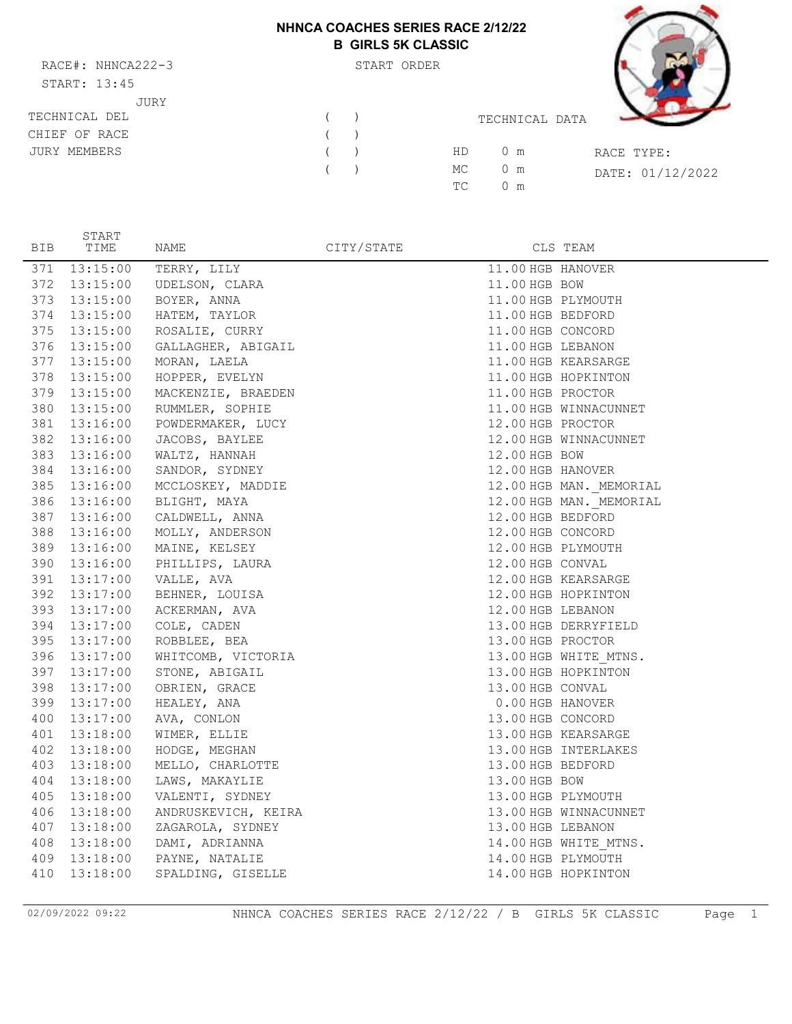## **NHNCA COACHES SERIES RACE 2/12/22 B GIRLS 5K CLASSIC**

RACE#: NHNCA222-3 START ORDER START: 13:45 JURY

START



| <u>UIIIII. IJ.IJ</u> |  |     |                |                  |
|----------------------|--|-----|----------------|------------------|
| JURY                 |  |     |                |                  |
| TECHNICAL DEL        |  |     | TECHNICAL DATA |                  |
| CHIEF OF RACE        |  |     |                |                  |
| JURY MEMBERS         |  | HD. | $0 \text{ m}$  | RACE TYPE:       |
|                      |  | MC  | $0 \text{ m}$  | DATE: 01/12/2022 |
|                      |  | TC. | 0 m            |                  |
|                      |  |     |                |                  |

| <b>BIB</b> | TIME         | NAME                             | CITY/STATE |                    | CLS TEAM                |
|------------|--------------|----------------------------------|------------|--------------------|-------------------------|
| 371        | 13:15:00     | TERRY, LILY                      |            | 11.00 HGB HANOVER  |                         |
|            |              | 372 13:15:00 UDELSON, CLARA      |            | 11.00 HGB BOW      |                         |
|            |              | 373 13:15:00 BOYER, ANNA         |            | 11.00 HGB PLYMOUTH |                         |
|            |              | 374 13:15:00 HATEM, TAYLOR       |            | 11.00 HGB BEDFORD  |                         |
| 375        |              | 13:15:00 ROSALIE, CURRY          |            | 11.00 HGB CONCORD  |                         |
| 376        |              | 13:15:00 GALLAGHER, ABIGAIL      |            | 11.00 HGB LEBANON  |                         |
|            |              | 377 13:15:00 MORAN, LAELA        |            |                    | 11.00 HGB KEARSARGE     |
| 378        |              | 13:15:00 HOPPER, EVELYN          |            |                    | 11.00 HGB HOPKINTON     |
|            | 379 13:15:00 | MACKENZIE, BRAEDEN               |            | 11.00 HGB PROCTOR  |                         |
|            |              | 380 13:15:00 RUMMLER, SOPHIE     |            |                    | 11.00 HGB WINNACUNNET   |
| 381        |              | 13:16:00 POWDERMAKER, LUCY       |            | 12.00 HGB PROCTOR  |                         |
|            |              | 382 13:16:00 JACOBS, BAYLEE      |            |                    | 12.00 HGB WINNACUNNET   |
|            |              | 383 13:16:00 WALTZ, HANNAH       |            | 12.00 HGB BOW      |                         |
|            |              | 384 13:16:00 SANDOR, SYDNEY      |            | 12.00 HGB HANOVER  |                         |
|            |              | 385 13:16:00 MCCLOSKEY, MADDIE   |            |                    | 12.00 HGB MAN. MEMORIAL |
|            |              | 386 13:16:00 BLIGHT, MAYA        |            |                    | 12.00 HGB MAN. MEMORIAL |
|            |              | 387 13:16:00 CALDWELL, ANNA      |            | 12.00 HGB BEDFORD  |                         |
|            |              | 388 13:16:00 MOLLY, ANDERSON     |            | 12.00 HGB CONCORD  |                         |
|            |              | 389 13:16:00 MAINE, KELSEY       |            |                    | 12.00 HGB PLYMOUTH      |
|            |              | 390 13:16:00 PHILLIPS, LAURA     |            | 12.00 HGB CONVAL   |                         |
|            |              | 391 13:17:00 VALLE, AVA          |            |                    | 12.00 HGB KEARSARGE     |
|            |              | 392 13:17:00 BEHNER, LOUISA      |            |                    | 12.00 HGB HOPKINTON     |
|            |              | 393 13:17:00 ACKERMAN, AVA       |            | 12.00 HGB LEBANON  |                         |
|            |              | 394 13:17:00 COLE, CADEN         |            |                    | 13.00 HGB DERRYFIELD    |
|            |              | 395 13:17:00 ROBBLEE, BEA        |            | 13.00 HGB PROCTOR  |                         |
|            |              | 396 13:17:00 WHITCOMB, VICTORIA  |            |                    | 13.00 HGB WHITE MTNS.   |
|            |              | 397 13:17:00 STONE, ABIGAIL      |            |                    | 13.00 HGB HOPKINTON     |
| 398        |              | $13:17:00$ OBRIEN, GRACE         |            | 13.00 HGB CONVAL   |                         |
|            |              | 399 13:17:00 HEALEY, ANA         |            | 0.00 HGB HANOVER   |                         |
|            |              | 400 13:17:00 AVA, CONLON         |            | 13.00 HGB CONCORD  |                         |
|            |              | 401 13:18:00 WIMER, ELLIE        |            |                    | 13.00 HGB KEARSARGE     |
| 402        |              | 13:18:00 HODGE, MEGHAN           |            |                    | 13.00 HGB INTERLAKES    |
| 403        |              | 13:18:00 MELLO, CHARLOTTE        |            | 13.00 HGB BEDFORD  |                         |
|            | 404 13:18:00 | LAWS, MAKAYLIE                   |            | 13.00 HGB BOW      |                         |
| 405        | 13:18:00     | VALENTI, SYDNEY                  |            | 13.00 HGB PLYMOUTH |                         |
|            |              | 406 13:18:00 ANDRUSKEVICH, KEIRA |            |                    | 13.00 HGB WINNACUNNET   |
|            |              | 407 13:18:00 ZAGAROLA, SYDNEY    |            | 13.00 HGB LEBANON  |                         |
| 408        |              | 13:18:00 DAMI, ADRIANNA          |            |                    | 14.00 HGB WHITE MTNS.   |
|            |              | 409 13:18:00 PAYNE, NATALIE      |            | 14.00 HGB PLYMOUTH |                         |
| 410        | 13:18:00     | SPALDING, GISELLE                |            |                    | 14.00 HGB HOPKINTON     |

02/09/2022 09:22 NHNCA COACHES SERIES RACE 2/12/22 / B GIRLS 5K CLASSIC Page 1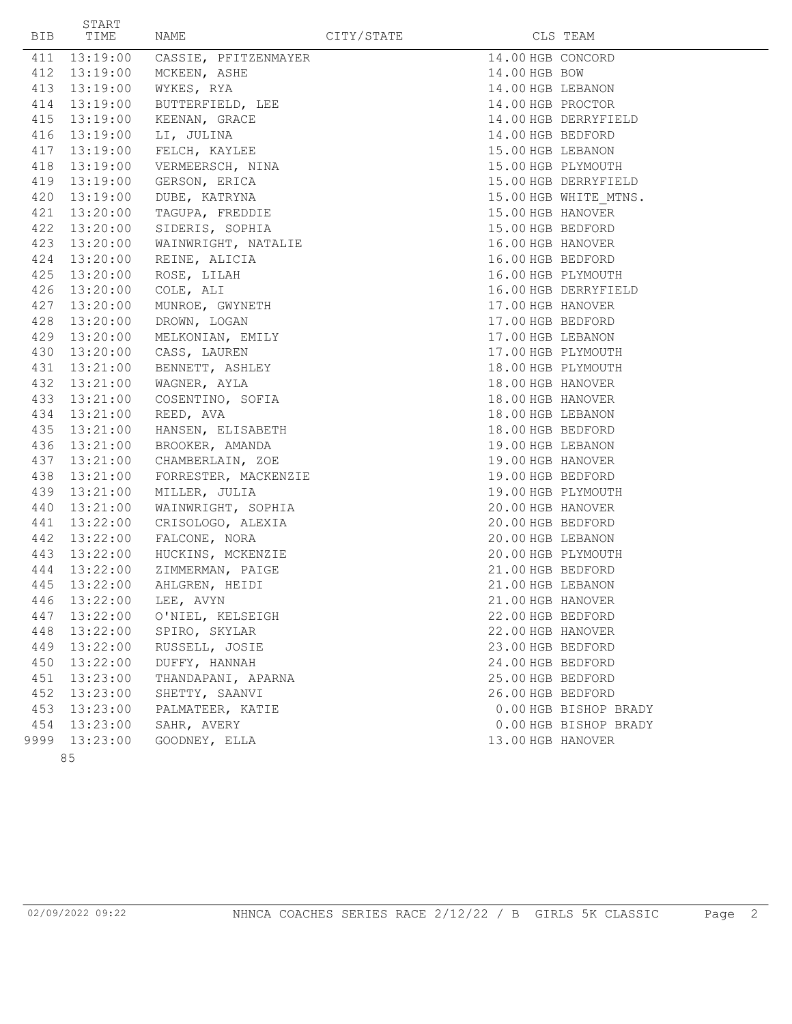| BIB | START<br>TIME | NAME                   | CITY/STATE |                   | CLS TEAM              |
|-----|---------------|------------------------|------------|-------------------|-----------------------|
| 411 | 13:19:00      | CASSIE, PFITZENMAYER   |            |                   | 14.00 HGB CONCORD     |
| 412 | 13:19:00      | MCKEEN, ASHE           |            | 14.00 HGB BOW     |                       |
| 413 | 13:19:00      | WYKES, RYA             |            |                   | 14.00 HGB LEBANON     |
|     | 414 13:19:00  | BUTTERFIELD, LEE       |            |                   | 14.00 HGB PROCTOR     |
|     | 415 13:19:00  | KEENAN, GRACE          |            |                   | 14.00 HGB DERRYFIELD  |
|     | 416 13:19:00  | LI, JULINA             |            | 14.00 HGB BEDFORD |                       |
|     | 417 13:19:00  | FELCH, KAYLEE          |            | 15.00 HGB LEBANON |                       |
| 418 | 13:19:00      | VERMEERSCH, NINA       |            |                   | 15.00 HGB PLYMOUTH    |
|     | 419 13:19:00  | GERSON, ERICA          |            |                   | 15.00 HGB DERRYFIELD  |
|     | 420 13:19:00  | DUBE, KATRYNA          |            |                   | 15.00 HGB WHITE MTNS. |
|     | 421 13:20:00  | TAGUPA, FREDDIE        |            |                   | 15.00 HGB HANOVER     |
|     | 422 13:20:00  | SIDERIS, SOPHIA        |            |                   | 15.00 HGB BEDFORD     |
|     | 423 13:20:00  | WAINWRIGHT, NATALIE    |            |                   | 16.00 HGB HANOVER     |
|     | 424 13:20:00  | REINE, ALICIA          |            |                   | 16.00 HGB BEDFORD     |
| 425 | 13:20:00      | ROSE, LILAH            |            |                   | 16.00 HGB PLYMOUTH    |
|     | 426 13:20:00  | COLE, ALI              |            |                   | 16.00 HGB DERRYFIELD  |
|     | 427 13:20:00  | MUNROE, GWYNETH        |            | 17.00 HGB HANOVER |                       |
| 428 | 13:20:00      | DROWN, LOGAN           |            |                   | 17.00 HGB BEDFORD     |
|     | 429 13:20:00  | MELKONIAN, EMILY       |            | 17.00 HGB LEBANON |                       |
|     | 430 13:20:00  | CASS, LAUREN           |            |                   | 17.00 HGB PLYMOUTH    |
|     | 431 13:21:00  | BENNETT, ASHLEY        |            |                   | 18.00 HGB PLYMOUTH    |
|     | 432 13:21:00  | WAGNER, AYLA           |            |                   | 18.00 HGB HANOVER     |
|     | 433 13:21:00  | COSENTINO, SOFIA       |            |                   | 18.00 HGB HANOVER     |
|     | 434 13:21:00  | REED, AVA              |            | 18.00 HGB LEBANON |                       |
|     | 435 13:21:00  | HANSEN, ELISABETH      |            |                   | 18.00 HGB BEDFORD     |
|     | 436 13:21:00  | BROOKER, AMANDA        |            | 19.00 HGB LEBANON |                       |
|     | 437 13:21:00  | CHAMBERLAIN, ZOE       |            |                   | 19.00 HGB HANOVER     |
| 438 | 13:21:00      | FORRESTER, MACKENZIE   |            |                   | 19.00 HGB BEDFORD     |
| 439 | 13:21:00      | MILLER, JULIA          |            |                   | 19.00 HGB PLYMOUTH    |
| 440 | 13:21:00      | WAINWRIGHT, SOPHIA     |            |                   | 20.00 HGB HANOVER     |
| 441 | 13:22:00      | CRISOLOGO, ALEXIA      |            |                   | 20.00 HGB BEDFORD     |
| 442 | 13:22:00      | FALCONE, NORA          |            | 20.00 HGB LEBANON |                       |
|     | 443 13:22:00  | HUCKINS, MCKENZIE      |            |                   | 20.00 HGB PLYMOUTH    |
|     | 444 13:22:00  | ZIMMERMAN, PAIGE       |            |                   | 21.00 HGB BEDFORD     |
| 445 | 13:22:00      | AHLGREN, HEIDI         |            | 21.00 HGB LEBANON |                       |
|     |               | 446 13:22:00 LEE, AVYN |            | 21.00 HGB HANOVER |                       |
| 447 | 13:22:00      | O'NIEL, KELSEIGH       |            | 22.00 HGB BEDFORD |                       |
| 448 | 13:22:00      | SPIRO, SKYLAR          |            | 22.00 HGB HANOVER |                       |
| 449 | 13:22:00      | RUSSELL, JOSIE         |            | 23.00 HGB BEDFORD |                       |
| 450 | 13:22:00      | DUFFY, HANNAH          |            | 24.00 HGB BEDFORD |                       |
| 451 | 13:23:00      | THANDAPANI, APARNA     |            | 25.00 HGB BEDFORD |                       |
| 452 | 13:23:00      | SHETTY, SAANVI         |            | 26.00 HGB BEDFORD |                       |
| 453 | 13:23:00      | PALMATEER, KATIE       |            |                   | 0.00 HGB BISHOP BRADY |
|     | 454 13:23:00  | SAHR, AVERY            |            |                   | 0.00 HGB BISHOP BRADY |
|     | 9999 13:23:00 | GOODNEY, ELLA          |            |                   | 13.00 HGB HANOVER     |
|     | 85            |                        |            |                   |                       |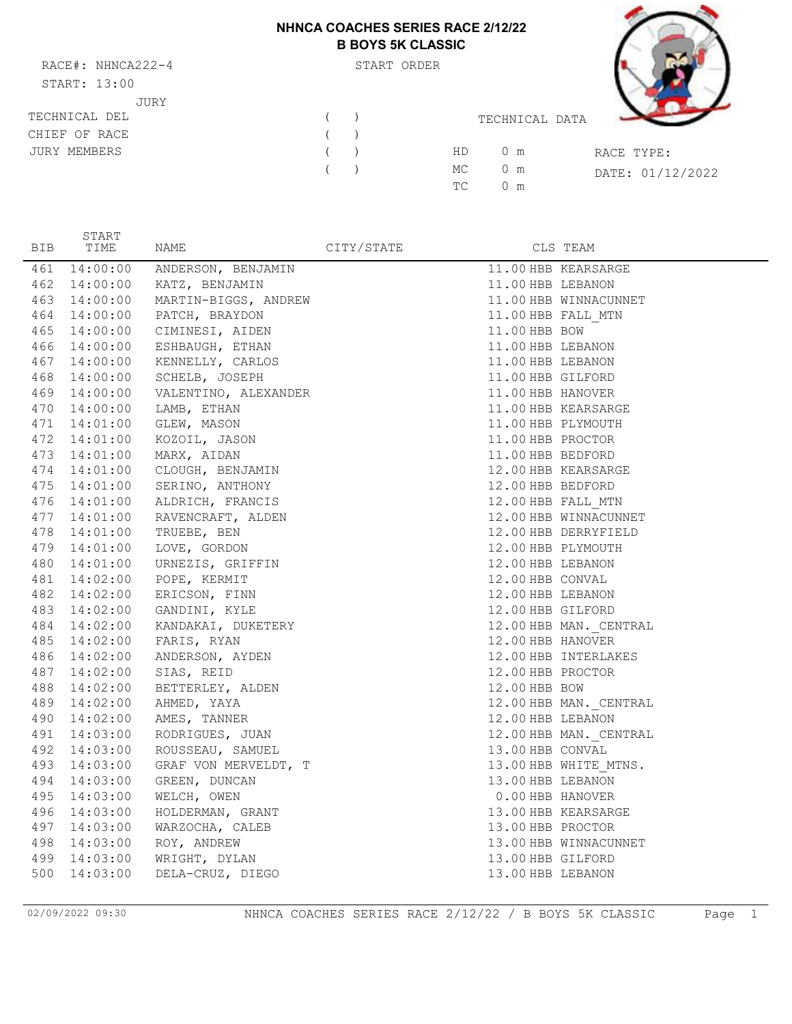# **NHNCA COACHES SERIES RACE 2/12/22 B BOYS 5K CLASSIC**

RACE#: NHNCA222-4 START ORDER  $START: 13:00$ JURY

START



| OIARI. IJ.UU  |   |   |                                         |  |
|---------------|---|---|-----------------------------------------|--|
| JURY          |   |   |                                         |  |
| TECHNICAL DEL |   | ( | TECHNICAL DATA                          |  |
| CHIEF OF RACE |   | ( |                                         |  |
| JURY MEMBERS  | ( |   | HD.<br>$0 \text{ m}$<br>RACE TYPE:      |  |
|               | ( |   | МC<br>$0 \text{ m}$<br>DATE: 01/12/2022 |  |
|               |   |   | TC.<br>$0 \text{ m}$                    |  |
|               |   |   |                                         |  |

| <b>BIB</b> | TIME     | NAME                            | CITY/STATE |                    | CLS TEAM               |
|------------|----------|---------------------------------|------------|--------------------|------------------------|
| 461        |          | 14:00:00 ANDERSON, BENJAMIN     |            |                    | 11.00 HBB KEARSARGE    |
| 462        |          | 14:00:00 KATZ, BENJAMIN         |            | 11.00 HBB LEBANON  |                        |
| 463        |          | 14:00:00 MARTIN-BIGGS, ANDREW   |            |                    | 11.00 HBB WINNACUNNET  |
| 464        |          | 14:00:00 PATCH, BRAYDON         |            | 11.00 HBB FALL MTN |                        |
| 465        |          | 14:00:00 CIMINESI, AIDEN        |            | 11.00 HBB BOW      |                        |
| 466        |          | 14:00:00 ESHBAUGH, ETHAN        |            | 11.00 HBB LEBANON  |                        |
| 467        |          | 14:00:00 KENNELLY, CARLOS       |            | 11.00 HBB LEBANON  |                        |
| 468        |          | 14:00:00 SCHELB, JOSEPH         |            | 11.00 HBB GILFORD  |                        |
| 469        |          | 14:00:00 VALENTINO, ALEXANDER   |            | 11.00 HBB HANOVER  |                        |
| 470        |          | 14:00:00 LAMB, ETHAN            |            |                    | 11.00 HBB KEARSARGE    |
| 471        |          | 14:01:00 GLEW, MASON            |            | 11.00 HBB PLYMOUTH |                        |
| 472        |          | 14:01:00 KOZOIL, JASON          |            | 11.00 HBB PROCTOR  |                        |
| 473        |          | 14:01:00 MARX, AIDAN            |            | 11.00 HBB BEDFORD  |                        |
| 474        |          | 14:01:00 CLOUGH, BENJAMIN       |            |                    | 12.00 HBB KEARSARGE    |
| 475        |          | 14:01:00 SERINO, ANTHONY        |            | 12.00 HBB BEDFORD  |                        |
| 476        |          | 14:01:00 ALDRICH, FRANCIS       |            | 12.00 HBB FALL MTN |                        |
| 477        |          | 14:01:00 RAVENCRAFT, ALDEN      |            |                    | 12.00 HBB WINNACUNNET  |
| 478        |          | $14:01:00$ TRUEBE, BEN          |            |                    | 12.00 HBB DERRYFIELD   |
| 479        |          | $14:01:00$ LOVE, GORDON         |            | 12.00 HBB PLYMOUTH |                        |
| 480        |          | 14:01:00 URNEZIS, GRIFFIN       |            | 12.00 HBB LEBANON  |                        |
| 481        |          | $14:02:00$ POPE, KERMIT         |            | 12.00 HBB CONVAL   |                        |
| 482        |          | 14:02:00 ERICSON, FINN          |            | 12.00 HBB LEBANON  |                        |
|            |          | 483 14:02:00 GANDINI, KYLE      |            | 12.00 HBB GILFORD  |                        |
|            |          | 484 14:02:00 KANDAKAI, DUKETERY |            |                    | 12.00 HBB MAN. CENTRAL |
| 485        |          | 14:02:00 FARIS, RYAN            |            | 12.00 HBB HANOVER  |                        |
| 486        |          | 14:02:00 ANDERSON, AYDEN        |            |                    | 12.00 HBB INTERLAKES   |
| 487        |          | 14:02:00 SIAS, REID             |            | 12.00 HBB PROCTOR  |                        |
| 488        |          | 14:02:00 BETTERLEY, ALDEN       |            | 12.00 HBB BOW      |                        |
|            |          | 489 14:02:00 AHMED, YAYA        |            |                    | 12.00 HBB MAN. CENTRAL |
|            |          | 490 14:02:00 AMES, TANNER       |            | 12.00 HBB LEBANON  |                        |
|            |          | 491 14:03:00 RODRIGUES, JUAN    |            |                    | 12.00 HBB MAN. CENTRAL |
| 492        |          | 14:03:00 ROUSSEAU, SAMUEL       |            | 13.00 HBB CONVAL   |                        |
| 493        |          | 14:03:00 GRAF VON MERVELDT, T   |            |                    | 13.00 HBB WHITE MTNS.  |
| 494        | 14:03:00 | GREEN, DUNCAN                   |            | 13.00 HBB LEBANON  |                        |
| 495        | 14:03:00 | WELCH, OWEN                     |            | 0.00 HBB HANOVER   |                        |
| 496        |          | 14:03:00 HOLDERMAN, GRANT       |            |                    | 13.00 HBB KEARSARGE    |
| 497        |          | 14:03:00 WARZOCHA, CALEB        |            | 13.00 HBB PROCTOR  |                        |
| 498        |          | 14:03:00 ROY, ANDREW            |            |                    | 13.00 HBB WINNACUNNET  |
| 499        |          | 14:03:00 WRIGHT, DYLAN          |            | 13.00 HBB GILFORD  |                        |
| 500        | 14:03:00 | DELA-CRUZ, DIEGO                |            | 13.00 HBB LEBANON  |                        |

02/09/2022 09:30 NHNCA COACHES SERIES RACE 2/12/22 / B BOYS 5K CLASSIC Page 1